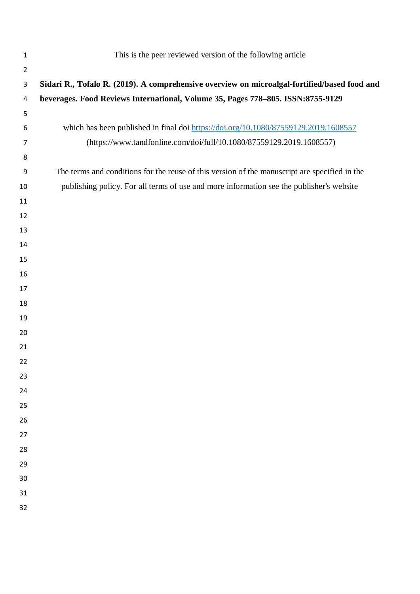| $\mathbf{1}$   | This is the peer reviewed version of the following article                                    |
|----------------|-----------------------------------------------------------------------------------------------|
| $\overline{2}$ |                                                                                               |
| 3              | Sidari R., Tofalo R. (2019). A comprehensive overview on microalgal-fortified/based food and  |
| 4              | beverages. Food Reviews International, Volume 35, Pages 778-805. ISSN:8755-9129               |
| 5              |                                                                                               |
| 6              | which has been published in final doi https://doi.org/10.1080/87559129.2019.1608557           |
| 7              | (https://www.tandfonline.com/doi/full/10.1080/87559129.2019.1608557)                          |
| 8              |                                                                                               |
| 9              | The terms and conditions for the reuse of this version of the manuscript are specified in the |
| 10             | publishing policy. For all terms of use and more information see the publisher's website      |
| 11             |                                                                                               |
| 12             |                                                                                               |
| 13             |                                                                                               |
| 14             |                                                                                               |
| 15             |                                                                                               |
| 16             |                                                                                               |
| 17             |                                                                                               |
| 18             |                                                                                               |
| 19             |                                                                                               |
| 20             |                                                                                               |
| 21             |                                                                                               |
| 22             |                                                                                               |
| 23             |                                                                                               |
| 24<br>25       |                                                                                               |
| 26             |                                                                                               |
| 27             |                                                                                               |
| 28             |                                                                                               |
| 29             |                                                                                               |
| 30             |                                                                                               |
| 31             |                                                                                               |
| 32             |                                                                                               |
|                |                                                                                               |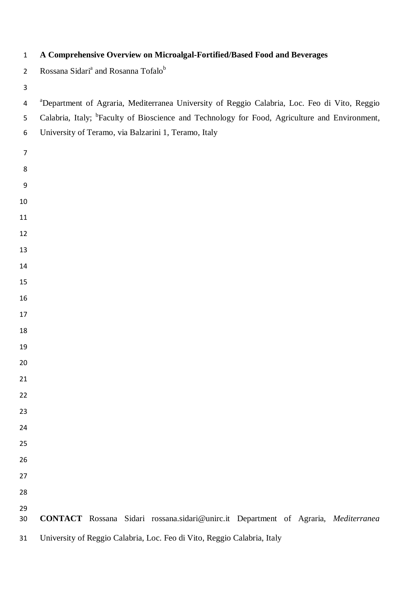| $\overline{2}$ | Rossana Sidari <sup>a</sup> and Rosanna Tofalo <sup>b</sup>                                               |  |  |  |  |  |  |  |  |  |  |
|----------------|-----------------------------------------------------------------------------------------------------------|--|--|--|--|--|--|--|--|--|--|
| 3              |                                                                                                           |  |  |  |  |  |  |  |  |  |  |
| 4              | <sup>a</sup> Department of Agraria, Mediterranea University of Reggio Calabria, Loc. Feo di Vito, Reggio  |  |  |  |  |  |  |  |  |  |  |
| 5              | Calabria, Italy; <sup>b</sup> Faculty of Bioscience and Technology for Food, Agriculture and Environment, |  |  |  |  |  |  |  |  |  |  |
| 6              | University of Teramo, via Balzarini 1, Teramo, Italy                                                      |  |  |  |  |  |  |  |  |  |  |
| $\overline{7}$ |                                                                                                           |  |  |  |  |  |  |  |  |  |  |
| 8              |                                                                                                           |  |  |  |  |  |  |  |  |  |  |
| 9              |                                                                                                           |  |  |  |  |  |  |  |  |  |  |
| 10             |                                                                                                           |  |  |  |  |  |  |  |  |  |  |
| 11             |                                                                                                           |  |  |  |  |  |  |  |  |  |  |
| 12             |                                                                                                           |  |  |  |  |  |  |  |  |  |  |
| 13             |                                                                                                           |  |  |  |  |  |  |  |  |  |  |
| 14             |                                                                                                           |  |  |  |  |  |  |  |  |  |  |
| 15             |                                                                                                           |  |  |  |  |  |  |  |  |  |  |
| 16             |                                                                                                           |  |  |  |  |  |  |  |  |  |  |
| 17             |                                                                                                           |  |  |  |  |  |  |  |  |  |  |
| 18             |                                                                                                           |  |  |  |  |  |  |  |  |  |  |
| 19             |                                                                                                           |  |  |  |  |  |  |  |  |  |  |
| 20             |                                                                                                           |  |  |  |  |  |  |  |  |  |  |
| 21             |                                                                                                           |  |  |  |  |  |  |  |  |  |  |
| 22             |                                                                                                           |  |  |  |  |  |  |  |  |  |  |
| 23             |                                                                                                           |  |  |  |  |  |  |  |  |  |  |
| 24             |                                                                                                           |  |  |  |  |  |  |  |  |  |  |
| 25             |                                                                                                           |  |  |  |  |  |  |  |  |  |  |
| 26             |                                                                                                           |  |  |  |  |  |  |  |  |  |  |
| 27             |                                                                                                           |  |  |  |  |  |  |  |  |  |  |
| 28             |                                                                                                           |  |  |  |  |  |  |  |  |  |  |
| 29             |                                                                                                           |  |  |  |  |  |  |  |  |  |  |
| 30             | CONTACT Rossana Sidari rossana.sidari@unirc.it Department of Agraria, Mediterranea                        |  |  |  |  |  |  |  |  |  |  |
| 31             | University of Reggio Calabria, Loc. Feo di Vito, Reggio Calabria, Italy                                   |  |  |  |  |  |  |  |  |  |  |

**A Comprehensive Overview on Microalgal-Fortified/Based Food and Beverages**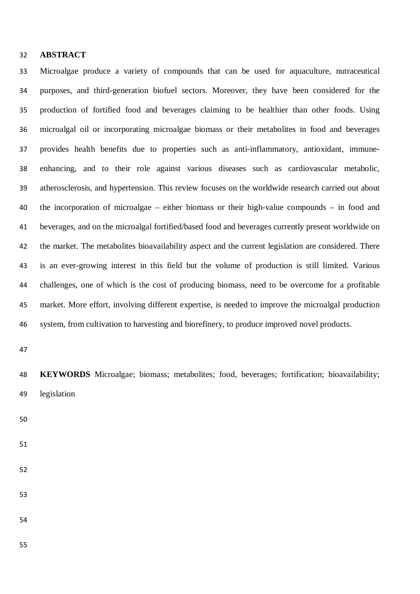# **ABSTRACT**

 Microalgae produce a variety of compounds that can be used for aquaculture, nutraceutical purposes, and third-generation biofuel sectors. Moreover, they have been considered for the production of fortified food and beverages claiming to be healthier than other foods. Using microalgal oil or incorporating microalgae biomass or their metabolites in food and beverages provides health benefits due to properties such as anti-inflammatory, antioxidant, immune- enhancing, and to their role against various diseases such as cardiovascular metabolic, atherosclerosis, and hypertension. This review focuses on the worldwide research carried out about the incorporation of microalgae – either biomass or their high-value compounds – in food and beverages, and on the microalgal fortified/based food and beverages currently present worldwide on the market. The metabolites bioavailability aspect and the current legislation are considered. There is an ever-growing interest in this field but the volume of production is still limited. Various challenges, one of which is the cost of producing biomass, need to be overcome for a profitable market. More effort, involving different expertise, is needed to improve the microalgal production system, from cultivation to harvesting and biorefinery, to produce improved novel products.

 **KEYWORDS** Microalgae; biomass; metabolites; food, beverages; fortification; bioavailability; legislation

- 
- 
- 
- 

- 
-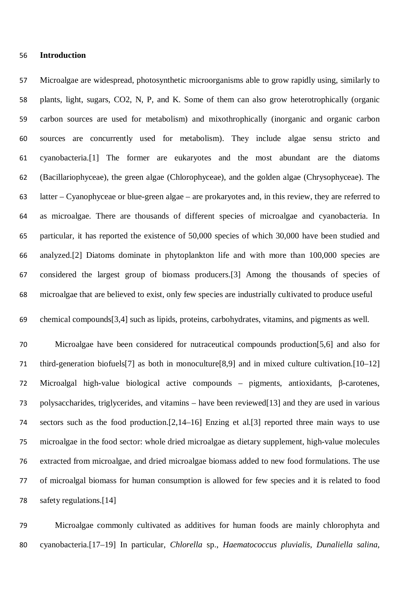#### **Introduction**

 Microalgae are widespread, photosynthetic microorganisms able to grow rapidly using, similarly to plants, light, sugars, CO2, N, P, and K. Some of them can also grow heterotrophically (organic carbon sources are used for metabolism) and mixothrophically (inorganic and organic carbon sources are concurrently used for metabolism). They include algae sensu stricto and cyanobacteria.[1] The former are eukaryotes and the most abundant are the diatoms (Bacillariophyceae), the green algae (Chlorophyceae), and the golden algae (Chrysophyceae). The latter – Cyanophyceae or blue-green algae – are prokaryotes and, in this review, they are referred to as microalgae. There are thousands of different species of microalgae and cyanobacteria. In particular, it has reported the existence of 50,000 species of which 30,000 have been studied and analyzed.[2] Diatoms dominate in phytoplankton life and with more than 100,000 species are considered the largest group of biomass producers.[3] Among the thousands of species of microalgae that are believed to exist, only few species are industrially cultivated to produce useful

chemical compounds[3,4] such as lipids, proteins, carbohydrates, vitamins, and pigments as well.

 Microalgae have been considered for nutraceutical compounds production[5,6] and also for third-generation biofuels[7] as both in monoculture[8,9] and in mixed culture cultivation.[10–12] Microalgal high-value biological active compounds – pigments, antioxidants, β-carotenes, polysaccharides, triglycerides, and vitamins – have been reviewed[13] and they are used in various sectors such as the food production.[2,14–16] Enzing et al.[3] reported three main ways to use microalgae in the food sector: whole dried microalgae as dietary supplement, high-value molecules extracted from microalgae, and dried microalgae biomass added to new food formulations. The use of microalgal biomass for human consumption is allowed for few species and it is related to food safety regulations.[14]

 Microalgae commonly cultivated as additives for human foods are mainly chlorophyta and cyanobacteria.[17–19] In particular, *Chlorella* sp., *Haematococcus pluvialis*, *Dunaliella salina*,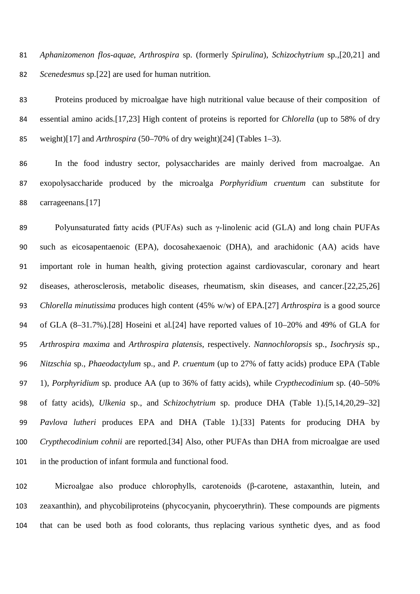*Aphanizomenon flos-aquae*, *Arthrospira* sp. (formerly *Spirulina*), *Schizochytrium* sp.,[20,21] and *Scenedesmus* sp.[22] are used for human nutrition.

 Proteins produced by microalgae have high nutritional value because of their composition of essential amino acids.[17,23] High content of proteins is reported for *Chlorella* (up to 58% of dry weight)[17] and *Arthrospira* (50–70% of dry weight)[24] (Tables 1–3).

 In the food industry sector, polysaccharides are mainly derived from macroalgae. An exopolysaccharide produced by the microalga *Porphyridium cruentum* can substitute for carrageenans.[17]

 Polyunsaturated fatty acids (PUFAs) such as γ-linolenic acid (GLA) and long chain PUFAs such as eicosapentaenoic (EPA), docosahexaenoic (DHA), and arachidonic (AA) acids have important role in human health, giving protection against cardiovascular, coronary and heart diseases, atherosclerosis, metabolic diseases, rheumatism, skin diseases, and cancer.[22,25,26] *Chlorella minutissima* produces high content (45% w/w) of EPA.[27] *Arthrospira* is a good source of GLA (8–31.7%).[28] Hoseini et al.[24] have reported values of 10–20% and 49% of GLA for *Arthrospira maxima* and *Arthrospira platensis*, respectively. *Nannochloropsis* sp., *Isochrysis* sp., *Nitzschia* sp., *Phaeodactylum* sp., and *P. cruentum* (up to 27% of fatty acids) produce EPA (Table 1), *Porphyridium* sp. produce AA (up to 36% of fatty acids), while *Crypthecodinium* sp. (40–50% of fatty acids), *Ulkenia* sp., and *Schizochytrium* sp. produce DHA (Table 1).[5,14,20,29–32] *Pavlova lutheri* produces EPA and DHA (Table 1).[33] Patents for producing DHA by *Crypthecodinium cohnii* are reported.[34] Also, other PUFAs than DHA from microalgae are used in the production of infant formula and functional food.

 Microalgae also produce chlorophylls, carotenoids (β-carotene, astaxanthin, lutein, and zeaxanthin), and phycobiliproteins (phycocyanin, phycoerythrin). These compounds are pigments that can be used both as food colorants, thus replacing various synthetic dyes, and as food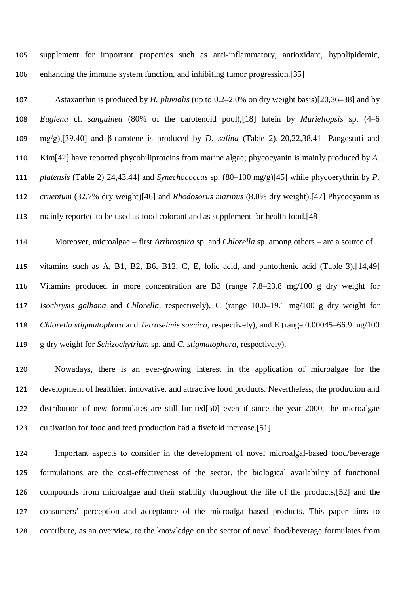supplement for important properties such as anti-inflammatory, antioxidant, hypolipidemic, enhancing the immune system function, and inhibiting tumor progression.[35]

 Astaxanthin is produced by *H. pluvialis* (up to 0.2–2.0% on dry weight basis)[20,36–38] and by *Euglena* cf. *sanguinea* (80% of the carotenoid pool),[18] lutein by *Muriellopsis* sp. (4–6 mg/g),[39,40] and β-carotene is produced by *D. salina* (Table 2).[20,22,38,41] Pangestuti and Kim[42] have reported phycobiliproteins from marine algae; phycocyanin is mainly produced by *A. platensis* (Table 2)[24,43,44] and *Synechococcus* sp. (80–100 mg/g)[45] while phycoerythrin by *P. cruentum* (32.7% dry weight)[46] and *Rhodosorus marinus* (8.0% dry weight).[47] Phycocyanin is mainly reported to be used as food colorant and as supplement for health food.[48]

Moreover, microalgae – first *Arthrospira* sp. and *Chlorella* sp. among others – are a source of

 vitamins such as A, B1, B2, B6, B12, C, E, folic acid, and pantothenic acid (Table 3).[14,49] Vitamins produced in more concentration are B3 (range 7.8–23.8 mg/100 g dry weight for *Isochrysis galbana* and *Chlorella*, respectively), C (range 10.0–19.1 mg/100 g dry weight for *Chlorella stigmatophora* and *Tetraselmis suecica*, respectively), and E (range 0.00045–66.9 mg/100 g dry weight for *Schizochytrium* sp. and *C. stigmatophora*, respectively).

 Nowadays, there is an ever-growing interest in the application of microalgae for the development of healthier, innovative, and attractive food products. Nevertheless, the production and distribution of new formulates are still limited[50] even if since the year 2000, the microalgae cultivation for food and feed production had a fivefold increase.[51]

 Important aspects to consider in the development of novel microalgal-based food/beverage formulations are the cost-effectiveness of the sector, the biological availability of functional compounds from microalgae and their stability throughout the life of the products,[52] and the consumers' perception and acceptance of the microalgal-based products. This paper aims to contribute, as an overview, to the knowledge on the sector of novel food/beverage formulates from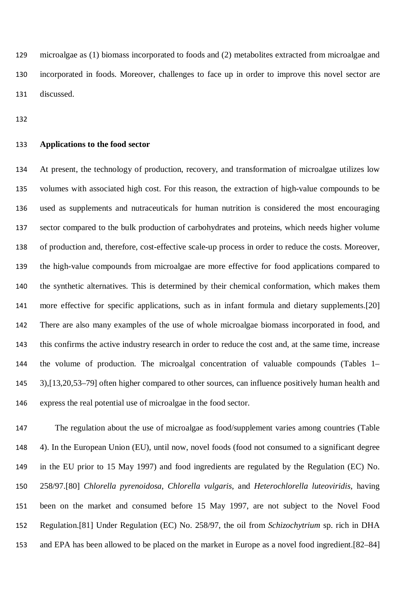microalgae as (1) biomass incorporated to foods and (2) metabolites extracted from microalgae and incorporated in foods. Moreover, challenges to face up in order to improve this novel sector are discussed.

#### **Applications to the food sector**

 At present, the technology of production, recovery, and transformation of microalgae utilizes low volumes with associated high cost. For this reason, the extraction of high-value compounds to be used as supplements and nutraceuticals for human nutrition is considered the most encouraging sector compared to the bulk production of carbohydrates and proteins, which needs higher volume of production and, therefore, cost-effective scale-up process in order to reduce the costs. Moreover, the high-value compounds from microalgae are more effective for food applications compared to the synthetic alternatives. This is determined by their chemical conformation, which makes them more effective for specific applications, such as in infant formula and dietary supplements.[20] There are also many examples of the use of whole microalgae biomass incorporated in food, and this confirms the active industry research in order to reduce the cost and, at the same time, increase the volume of production. The microalgal concentration of valuable compounds (Tables 1– 3),[13,20,53–79] often higher compared to other sources, can influence positively human health and express the real potential use of microalgae in the food sector.

 The regulation about the use of microalgae as food/supplement varies among countries (Table 4). In the European Union (EU), until now, novel foods (food not consumed to a significant degree in the EU prior to 15 May 1997) and food ingredients are regulated by the Regulation (EC) No. 258/97.[80] *Chlorella pyrenoidosa*, *Chlorella vulgaris*, and *Heterochlorella luteoviridis*, having been on the market and consumed before 15 May 1997, are not subject to the Novel Food Regulation.[81] Under Regulation (EC) No. 258/97, the oil from *Schizochytrium* sp. rich in DHA and EPA has been allowed to be placed on the market in Europe as a novel food ingredient.[82–84]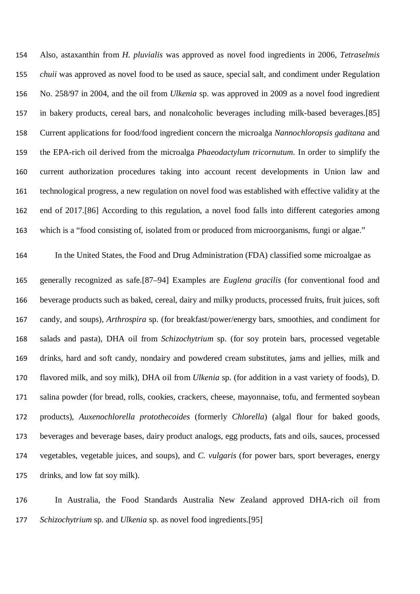Also, astaxanthin from *H. pluvialis* was approved as novel food ingredients in 2006, *Tetraselmis chuii* was approved as novel food to be used as sauce, special salt, and condiment under Regulation No. 258/97 in 2004, and the oil from *Ulkenia* sp. was approved in 2009 as a novel food ingredient in bakery products, cereal bars, and nonalcoholic beverages including milk-based beverages.[85] Current applications for food/food ingredient concern the microalga *Nannochloropsis gaditana* and the EPA-rich oil derived from the microalga *Phaeodactylum tricornutum*. In order to simplify the current authorization procedures taking into account recent developments in Union law and technological progress, a new regulation on novel food was established with effective validity at the end of 2017.[86] According to this regulation, a novel food falls into different categories among which is a "food consisting of, isolated from or produced from microorganisms, fungi or algae."

 In the United States, the Food and Drug Administration (FDA) classified some microalgae as generally recognized as safe.[87–94] Examples are *Euglena gracilis* (for conventional food and beverage products such as baked, cereal, dairy and milky products, processed fruits, fruit juices, soft candy, and soups), *Arthrospira* sp. (for breakfast/power/energy bars, smoothies, and condiment for salads and pasta), DHA oil from *Schizochytrium* sp. (for soy protein bars, processed vegetable drinks, hard and soft candy, nondairy and powdered cream substitutes, jams and jellies, milk and flavored milk, and soy milk), DHA oil from *Ulkenia* sp. (for addition in a vast variety of foods), D. salina powder (for bread, rolls, cookies, crackers, cheese, mayonnaise, tofu, and fermented soybean products), *Auxenochlorella protothecoides* (formerly *Chlorella*) (algal flour for baked goods, beverages and beverage bases, dairy product analogs, egg products, fats and oils, sauces, processed vegetables, vegetable juices, and soups), and *C. vulgaris* (for power bars, sport beverages, energy drinks, and low fat soy milk).

 In Australia, the Food Standards Australia New Zealand approved DHA-rich oil from *Schizochytrium* sp. and *Ulkenia* sp. as novel food ingredients.[95]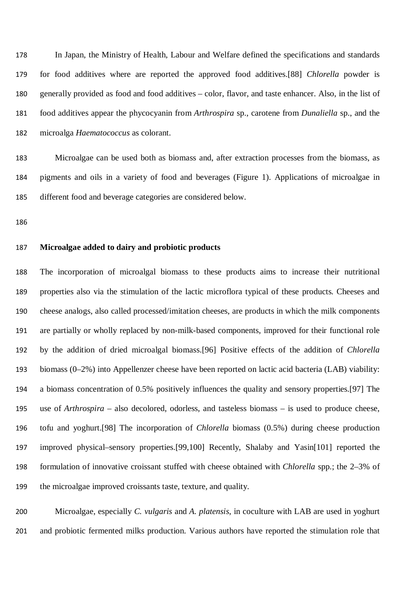In Japan, the Ministry of Health, Labour and Welfare defined the specifications and standards for food additives where are reported the approved food additives.[88] *Chlorella* powder is generally provided as food and food additives – color, flavor, and taste enhancer. Also, in the list of food additives appear the phycocyanin from *Arthrospira* sp., carotene from *Dunaliella* sp., and the microalga *Haematococcus* as colorant.

 Microalgae can be used both as biomass and, after extraction processes from the biomass, as pigments and oils in a variety of food and beverages (Figure 1). Applications of microalgae in different food and beverage categories are considered below.

#### **Microalgae added to dairy and probiotic products**

 The incorporation of microalgal biomass to these products aims to increase their nutritional properties also via the stimulation of the lactic microflora typical of these products. Cheeses and cheese analogs, also called processed/imitation cheeses, are products in which the milk components are partially or wholly replaced by non-milk-based components, improved for their functional role by the addition of dried microalgal biomass.[96] Positive effects of the addition of *Chlorella* biomass (0–2%) into Appellenzer cheese have been reported on lactic acid bacteria (LAB) viability: a biomass concentration of 0.5% positively influences the quality and sensory properties.[97] The use of *Arthrospira* – also decolored, odorless, and tasteless biomass – is used to produce cheese, tofu and yoghurt.[98] The incorporation of *Chlorella* biomass (0.5%) during cheese production improved physical–sensory properties.[99,100] Recently, Shalaby and Yasin[101] reported the formulation of innovative croissant stuffed with cheese obtained with *Chlorella* spp.; the 2–3% of the microalgae improved croissants taste, texture, and quality.

 Microalgae, especially *C. vulgaris* and *A. platensis*, in coculture with LAB are used in yoghurt and probiotic fermented milks production. Various authors have reported the stimulation role that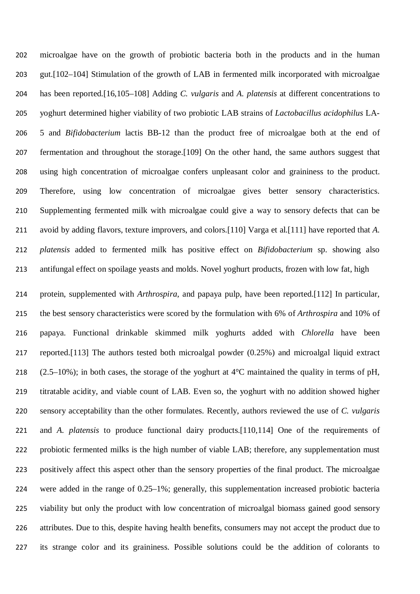microalgae have on the growth of probiotic bacteria both in the products and in the human gut.[102–104] Stimulation of the growth of LAB in fermented milk incorporated with microalgae has been reported.[16,105–108] Adding *C. vulgaris* and *A. platensis* at different concentrations to yoghurt determined higher viability of two probiotic LAB strains of *Lactobacillus acidophilus* LA- 5 and *Bifidobacterium* lactis BB-12 than the product free of microalgae both at the end of fermentation and throughout the storage.[109] On the other hand, the same authors suggest that using high concentration of microalgae confers unpleasant color and graininess to the product. Therefore, using low concentration of microalgae gives better sensory characteristics. Supplementing fermented milk with microalgae could give a way to sensory defects that can be avoid by adding flavors, texture improvers, and colors.[110] Varga et al.[111] have reported that *A. platensis* added to fermented milk has positive effect on *Bifidobacterium* sp. showing also antifungal effect on spoilage yeasts and molds. Novel yoghurt products, frozen with low fat, high

 protein, supplemented with *Arthrospira*, and papaya pulp, have been reported.[112] In particular, the best sensory characteristics were scored by the formulation with 6% of *Arthrospira* and 10% of papaya. Functional drinkable skimmed milk yoghurts added with *Chlorella* have been reported.[113] The authors tested both microalgal powder (0.25%) and microalgal liquid extract 218 (2.5–10%); in both cases, the storage of the yoghurt at  $4^{\circ}$ C maintained the quality in terms of pH, titratable acidity, and viable count of LAB. Even so, the yoghurt with no addition showed higher sensory acceptability than the other formulates. Recently, authors reviewed the use of *C. vulgaris* and *A. platensis* to produce functional dairy products.[110,114] One of the requirements of probiotic fermented milks is the high number of viable LAB; therefore, any supplementation must positively affect this aspect other than the sensory properties of the final product. The microalgae were added in the range of 0.25–1%; generally, this supplementation increased probiotic bacteria viability but only the product with low concentration of microalgal biomass gained good sensory attributes. Due to this, despite having health benefits, consumers may not accept the product due to its strange color and its graininess. Possible solutions could be the addition of colorants to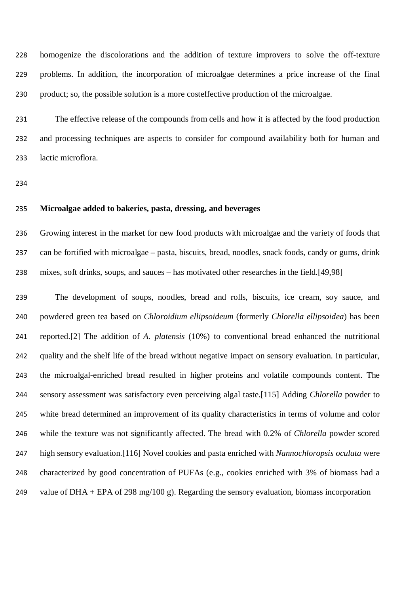homogenize the discolorations and the addition of texture improvers to solve the off-texture problems. In addition, the incorporation of microalgae determines a price increase of the final product; so, the possible solution is a more costeffective production of the microalgae.

 The effective release of the compounds from cells and how it is affected by the food production and processing techniques are aspects to consider for compound availability both for human and lactic microflora.

### **Microalgae added to bakeries, pasta, dressing, and beverages**

 Growing interest in the market for new food products with microalgae and the variety of foods that can be fortified with microalgae – pasta, biscuits, bread, noodles, snack foods, candy or gums, drink mixes, soft drinks, soups, and sauces – has motivated other researches in the field.[49,98]

 The development of soups, noodles, bread and rolls, biscuits, ice cream, soy sauce, and powdered green tea based on *Chloroidium ellipsoideum* (formerly *Chlorella ellipsoidea*) has been reported.[2] The addition of *A. platensis* (10%) to conventional bread enhanced the nutritional quality and the shelf life of the bread without negative impact on sensory evaluation. In particular, the microalgal-enriched bread resulted in higher proteins and volatile compounds content. The sensory assessment was satisfactory even perceiving algal taste.[115] Adding *Chlorella* powder to white bread determined an improvement of its quality characteristics in terms of volume and color while the texture was not significantly affected. The bread with 0.2% of *Chlorella* powder scored high sensory evaluation.[116] Novel cookies and pasta enriched with *Nannochloropsis oculata* were characterized by good concentration of PUFAs (e.g., cookies enriched with 3% of biomass had a 249 value of DHA + EPA of 298 mg/100 g). Regarding the sensory evaluation, biomass incorporation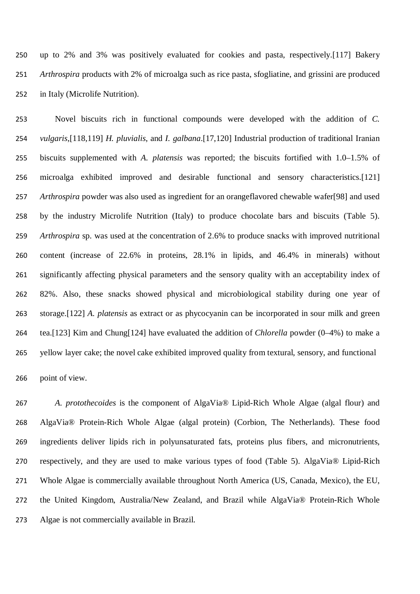up to 2% and 3% was positively evaluated for cookies and pasta, respectively.[117] Bakery *Arthrospira* products with 2% of microalga such as rice pasta, sfogliatine, and grissini are produced in Italy (Microlife Nutrition).

 Novel biscuits rich in functional compounds were developed with the addition of *C. vulgaris*,[118,119] *H. pluvialis*, and *I. galbana*.[17,120] Industrial production of traditional Iranian biscuits supplemented with *A. platensis* was reported; the biscuits fortified with 1.0–1.5% of microalga exhibited improved and desirable functional and sensory characteristics.[121] *Arthrospira* powder was also used as ingredient for an orangeflavored chewable wafer[98] and used by the industry Microlife Nutrition (Italy) to produce chocolate bars and biscuits (Table 5). *Arthrospira* sp. was used at the concentration of 2.6% to produce snacks with improved nutritional content (increase of 22.6% in proteins, 28.1% in lipids, and 46.4% in minerals) without significantly affecting physical parameters and the sensory quality with an acceptability index of 82%. Also, these snacks showed physical and microbiological stability during one year of storage.[122] *A. platensis* as extract or as phycocyanin can be incorporated in sour milk and green tea.[123] Kim and Chung[124] have evaluated the addition of *Chlorella* powder (0–4%) to make a yellow layer cake; the novel cake exhibited improved quality from textural, sensory, and functional

point of view.

 *A. protothecoides* is the component of AlgaVia® Lipid-Rich Whole Algae (algal flour) and AlgaVia® Protein-Rich Whole Algae (algal protein) (Corbion, The Netherlands). These food ingredients deliver lipids rich in polyunsaturated fats, proteins plus fibers, and micronutrients, respectively, and they are used to make various types of food (Table 5). AlgaVia® Lipid-Rich Whole Algae is commercially available throughout North America (US, Canada, Mexico), the EU, the United Kingdom, Australia/New Zealand, and Brazil while AlgaVia® Protein-Rich Whole Algae is not commercially available in Brazil.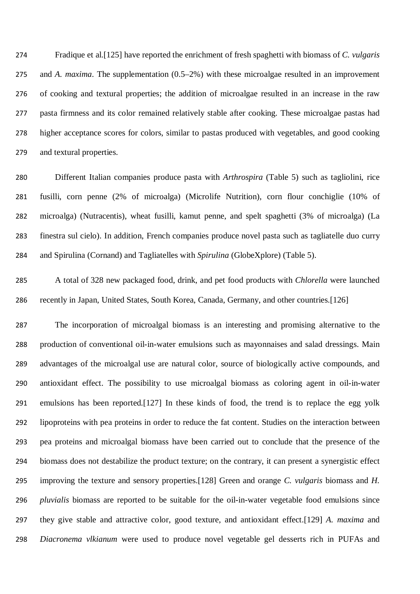Fradique et al.[125] have reported the enrichment of fresh spaghetti with biomass of *C. vulgaris* and *A. maxima*. The supplementation (0.5–2%) with these microalgae resulted in an improvement of cooking and textural properties; the addition of microalgae resulted in an increase in the raw pasta firmness and its color remained relatively stable after cooking. These microalgae pastas had higher acceptance scores for colors, similar to pastas produced with vegetables, and good cooking and textural properties.

 Different Italian companies produce pasta with *Arthrospira* (Table 5) such as tagliolini, rice fusilli, corn penne (2% of microalga) (Microlife Nutrition), corn flour conchiglie (10% of microalga) (Nutracentis), wheat fusilli, kamut penne, and spelt spaghetti (3% of microalga) (La finestra sul cielo). In addition, French companies produce novel pasta such as tagliatelle duo curry and Spirulina (Cornand) and Tagliatelles with *Spirulina* (GlobeXplore) (Table 5).

 A total of 328 new packaged food, drink, and pet food products with *Chlorella* were launched 286 recently in Japan, United States, South Korea, Canada, Germany, and other countries. [126]

 The incorporation of microalgal biomass is an interesting and promising alternative to the production of conventional oil-in-water emulsions such as mayonnaises and salad dressings. Main advantages of the microalgal use are natural color, source of biologically active compounds, and antioxidant effect. The possibility to use microalgal biomass as coloring agent in oil-in-water emulsions has been reported.[127] In these kinds of food, the trend is to replace the egg yolk lipoproteins with pea proteins in order to reduce the fat content. Studies on the interaction between pea proteins and microalgal biomass have been carried out to conclude that the presence of the biomass does not destabilize the product texture; on the contrary, it can present a synergistic effect improving the texture and sensory properties.[128] Green and orange *C. vulgaris* biomass and *H. pluvialis* biomass are reported to be suitable for the oil-in-water vegetable food emulsions since they give stable and attractive color, good texture, and antioxidant effect.[129] *A. maxima* and *Diacronema vlkianum* were used to produce novel vegetable gel desserts rich in PUFAs and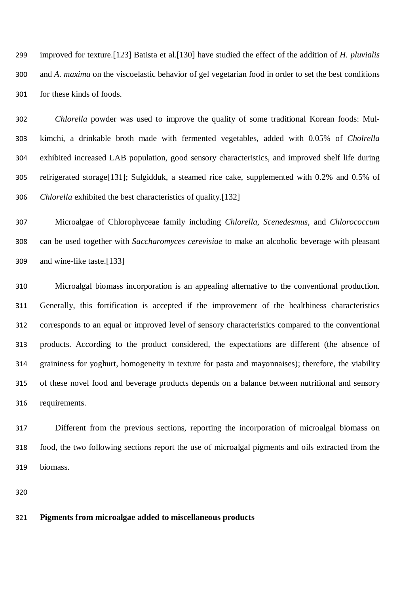improved for texture.[123] Batista et al.[130] have studied the effect of the addition of *H. pluvialis* and *A. maxima* on the viscoelastic behavior of gel vegetarian food in order to set the best conditions for these kinds of foods.

 *Chlorella* powder was used to improve the quality of some traditional Korean foods: Mul- kimchi, a drinkable broth made with fermented vegetables, added with 0.05% of *Cholrella* exhibited increased LAB population, good sensory characteristics, and improved shelf life during refrigerated storage[131]; Sulgidduk, a steamed rice cake, supplemented with 0.2% and 0.5% of *Chlorella* exhibited the best characteristics of quality.[132]

 Microalgae of Chlorophyceae family including *Chlorella*, *Scenedesmus*, and *Chlorococcum* can be used together with *Saccharomyces cerevisiae* to make an alcoholic beverage with pleasant and wine-like taste.[133]

 Microalgal biomass incorporation is an appealing alternative to the conventional production. Generally, this fortification is accepted if the improvement of the healthiness characteristics corresponds to an equal or improved level of sensory characteristics compared to the conventional products. According to the product considered, the expectations are different (the absence of graininess for yoghurt, homogeneity in texture for pasta and mayonnaises); therefore, the viability of these novel food and beverage products depends on a balance between nutritional and sensory requirements.

 Different from the previous sections, reporting the incorporation of microalgal biomass on food, the two following sections report the use of microalgal pigments and oils extracted from the biomass.

#### **Pigments from microalgae added to miscellaneous products**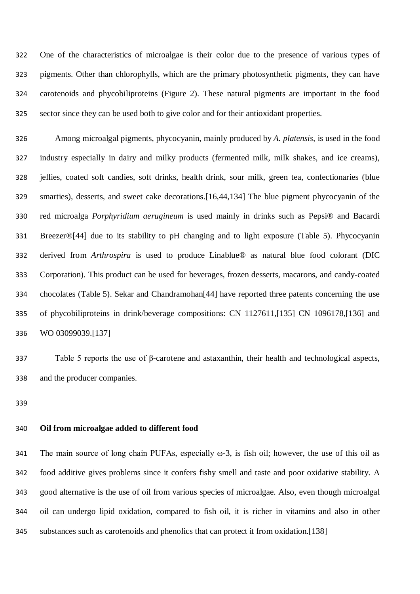One of the characteristics of microalgae is their color due to the presence of various types of pigments. Other than chlorophylls, which are the primary photosynthetic pigments, they can have carotenoids and phycobiliproteins (Figure 2). These natural pigments are important in the food sector since they can be used both to give color and for their antioxidant properties.

 Among microalgal pigments, phycocyanin, mainly produced by *A. platensis*, is used in the food industry especially in dairy and milky products (fermented milk, milk shakes, and ice creams), jellies, coated soft candies, soft drinks, health drink, sour milk, green tea, confectionaries (blue smarties), desserts, and sweet cake decorations.[16,44,134] The blue pigment phycocyanin of the red microalga *Porphyridium aerugineum* is used mainly in drinks such as Pepsi® and Bacardi Breezer®[44] due to its stability to pH changing and to light exposure (Table 5). Phycocyanin derived from *Arthrospira* is used to produce Linablue® as natural blue food colorant (DIC Corporation). This product can be used for beverages, frozen desserts, macarons, and candy-coated chocolates (Table 5). Sekar and Chandramohan[44] have reported three patents concerning the use of phycobiliproteins in drink/beverage compositions: CN 1127611,[135] CN 1096178,[136] and WO 03099039.[137]

 Table 5 reports the use of β-carotene and astaxanthin, their health and technological aspects, and the producer companies.

## **Oil from microalgae added to different food**

341 The main source of long chain PUFAs, especially  $\omega$ -3, is fish oil; however, the use of this oil as food additive gives problems since it confers fishy smell and taste and poor oxidative stability. A good alternative is the use of oil from various species of microalgae. Also, even though microalgal oil can undergo lipid oxidation, compared to fish oil, it is richer in vitamins and also in other substances such as carotenoids and phenolics that can protect it from oxidation.[138]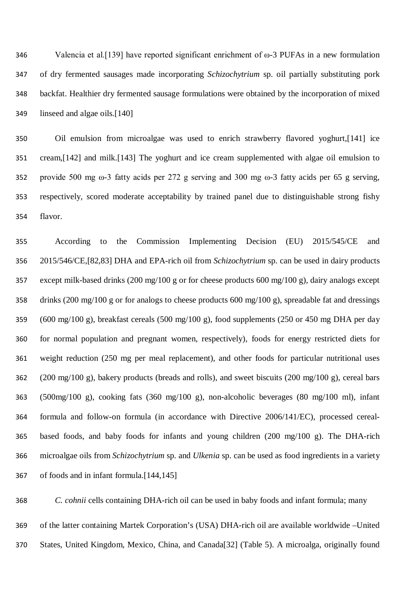Valencia et al.[139] have reported significant enrichment of ω-3 PUFAs in a new formulation of dry fermented sausages made incorporating *Schizochytrium* sp. oil partially substituting pork backfat. Healthier dry fermented sausage formulations were obtained by the incorporation of mixed linseed and algae oils.[140]

 Oil emulsion from microalgae was used to enrich strawberry flavored yoghurt,[141] ice cream,[142] and milk.[143] The yoghurt and ice cream supplemented with algae oil emulsion to provide 500 mg ω-3 fatty acids per 272 g serving and 300 mg ω-3 fatty acids per 65 g serving, respectively, scored moderate acceptability by trained panel due to distinguishable strong fishy flavor.

 According to the Commission Implementing Decision (EU) 2015/545/CE and 2015/546/CE,[82,83] DHA and EPA-rich oil from *Schizochytrium* sp. can be used in dairy products except milk-based drinks (200 mg/100 g or for cheese products 600 mg/100 g), dairy analogs except drinks (200 mg/100 g or for analogs to cheese products 600 mg/100 g), spreadable fat and dressings (600 mg/100 g), breakfast cereals (500 mg/100 g), food supplements (250 or 450 mg DHA per day for normal population and pregnant women, respectively), foods for energy restricted diets for weight reduction (250 mg per meal replacement), and other foods for particular nutritional uses (200 mg/100 g), bakery products (breads and rolls), and sweet biscuits (200 mg/100 g), cereal bars (500mg/100 g), cooking fats (360 mg/100 g), non-alcoholic beverages (80 mg/100 ml), infant formula and follow-on formula (in accordance with Directive 2006/141/EC), processed cereal- based foods, and baby foods for infants and young children (200 mg/100 g). The DHA-rich microalgae oils from *Schizochytrium* sp. and *Ulkenia* sp. can be used as food ingredients in a variety of foods and in infant formula.[144,145]

 *C. cohnii* cells containing DHA-rich oil can be used in baby foods and infant formula; many of the latter containing Martek Corporation's (USA) DHA-rich oil are available worldwide –United States, United Kingdom, Mexico, China, and Canada[32] (Table 5). A microalga, originally found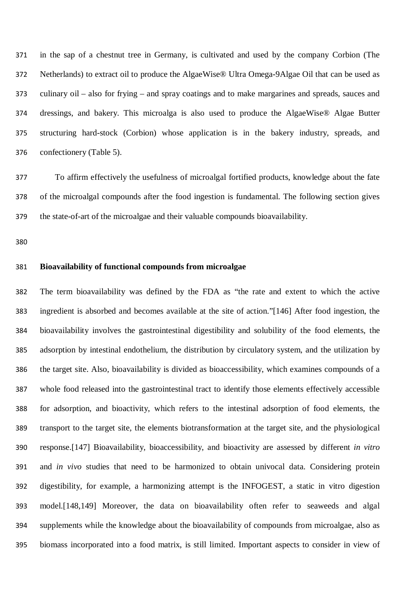in the sap of a chestnut tree in Germany, is cultivated and used by the company Corbion (The Netherlands) to extract oil to produce the AlgaeWise® Ultra Omega-9Algae Oil that can be used as culinary oil – also for frying – and spray coatings and to make margarines and spreads, sauces and dressings, and bakery. This microalga is also used to produce the AlgaeWise® Algae Butter structuring hard-stock (Corbion) whose application is in the bakery industry, spreads, and confectionery (Table 5).

 To affirm effectively the usefulness of microalgal fortified products, knowledge about the fate of the microalgal compounds after the food ingestion is fundamental. The following section gives the state-of-art of the microalgae and their valuable compounds bioavailability.

# **Bioavailability of functional compounds from microalgae**

 The term bioavailability was defined by the FDA as "the rate and extent to which the active ingredient is absorbed and becomes available at the site of action."[146] After food ingestion, the bioavailability involves the gastrointestinal digestibility and solubility of the food elements, the adsorption by intestinal endothelium, the distribution by circulatory system, and the utilization by the target site. Also, bioavailability is divided as bioaccessibility, which examines compounds of a whole food released into the gastrointestinal tract to identify those elements effectively accessible for adsorption, and bioactivity, which refers to the intestinal adsorption of food elements, the transport to the target site, the elements biotransformation at the target site, and the physiological response.[147] Bioavailability, bioaccessibility, and bioactivity are assessed by different *in vitro* and *in vivo* studies that need to be harmonized to obtain univocal data. Considering protein digestibility, for example, a harmonizing attempt is the INFOGEST, a static in vitro digestion model.[148,149] Moreover, the data on bioavailability often refer to seaweeds and algal supplements while the knowledge about the bioavailability of compounds from microalgae, also as biomass incorporated into a food matrix, is still limited. Important aspects to consider in view of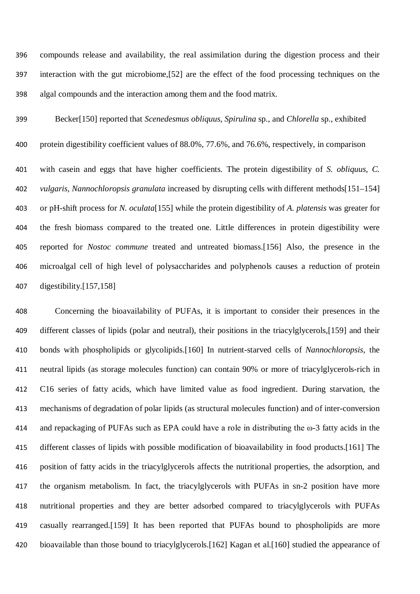compounds release and availability, the real assimilation during the digestion process and their interaction with the gut microbiome,[52] are the effect of the food processing techniques on the algal compounds and the interaction among them and the food matrix.

Becker[150] reported that *Scenedesmus obliquus*, *Spirulina* sp., and *Chlorella* sp., exhibited

 protein digestibility coefficient values of 88.0%, 77.6%, and 76.6%, respectively, in comparison with casein and eggs that have higher coefficients. The protein digestibility of *S. obliquus*, *C. vulgaris*, *Nannochloropsis granulata* increased by disrupting cells with different methods[151–154] or pH-shift process for *N. oculata*[155] while the protein digestibility of *A. platensis* was greater for the fresh biomass compared to the treated one. Little differences in protein digestibility were reported for *Nostoc commune* treated and untreated biomass.[156] Also, the presence in the microalgal cell of high level of polysaccharides and polyphenols causes a reduction of protein digestibility.[157,158]

 Concerning the bioavailability of PUFAs, it is important to consider their presences in the different classes of lipids (polar and neutral), their positions in the triacylglycerols,[159] and their bonds with phospholipids or glycolipids.[160] In nutrient-starved cells of *Nannochloropsis*, the neutral lipids (as storage molecules function) can contain 90% or more of triacylglycerols-rich in C16 series of fatty acids, which have limited value as food ingredient. During starvation, the mechanisms of degradation of polar lipids (as structural molecules function) and of inter-conversion and repackaging of PUFAs such as EPA could have a role in distributing the ω-3 fatty acids in the different classes of lipids with possible modification of bioavailability in food products.[161] The position of fatty acids in the triacylglycerols affects the nutritional properties, the adsorption, and the organism metabolism. In fact, the triacylglycerols with PUFAs in sn-2 position have more nutritional properties and they are better adsorbed compared to triacylglycerols with PUFAs casually rearranged.[159] It has been reported that PUFAs bound to phospholipids are more bioavailable than those bound to triacylglycerols.[162] Kagan et al.[160] studied the appearance of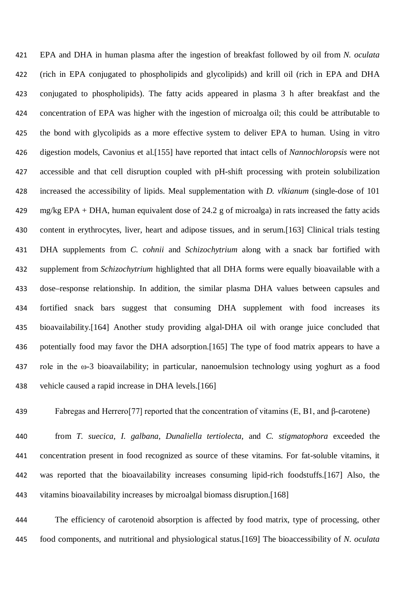EPA and DHA in human plasma after the ingestion of breakfast followed by oil from *N. oculata* (rich in EPA conjugated to phospholipids and glycolipids) and krill oil (rich in EPA and DHA conjugated to phospholipids). The fatty acids appeared in plasma 3 h after breakfast and the concentration of EPA was higher with the ingestion of microalga oil; this could be attributable to the bond with glycolipids as a more effective system to deliver EPA to human. Using in vitro digestion models, Cavonius et al.[155] have reported that intact cells of *Nannochloropsis* were not accessible and that cell disruption coupled with pH-shift processing with protein solubilization increased the accessibility of lipids. Meal supplementation with *D. vlkianum* (single-dose of 101 mg/kg EPA + DHA, human equivalent dose of 24.2 g of microalga) in rats increased the fatty acids content in erythrocytes, liver, heart and adipose tissues, and in serum.[163] Clinical trials testing DHA supplements from *C. cohnii* and *Schizochytrium* along with a snack bar fortified with supplement from *Schizochytrium* highlighted that all DHA forms were equally bioavailable with a dose–response relationship. In addition, the similar plasma DHA values between capsules and fortified snack bars suggest that consuming DHA supplement with food increases its bioavailability.[164] Another study providing algal-DHA oil with orange juice concluded that potentially food may favor the DHA adsorption.[165] The type of food matrix appears to have a role in the ω-3 bioavailability; in particular, nanoemulsion technology using yoghurt as a food vehicle caused a rapid increase in DHA levels.[166]

Fabregas and Herrero[77] reported that the concentration of vitamins (E, B1, and β-carotene)

 from *T. suecica*, *I. galbana*, *Dunaliella tertiolecta*, and *C. stigmatophora* exceeded the concentration present in food recognized as source of these vitamins. For fat-soluble vitamins, it was reported that the bioavailability increases consuming lipid-rich foodstuffs.[167] Also, the vitamins bioavailability increases by microalgal biomass disruption.[168]

 The efficiency of carotenoid absorption is affected by food matrix, type of processing, other food components, and nutritional and physiological status.[169] The bioaccessibility of *N. oculata*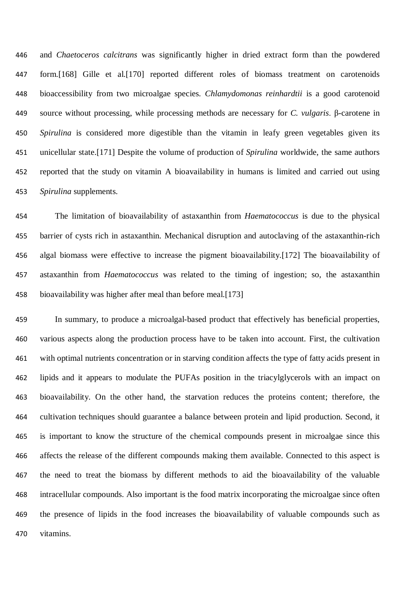and *Chaetoceros calcitrans* was significantly higher in dried extract form than the powdered form.[168] Gille et al.[170] reported different roles of biomass treatment on carotenoids bioaccessibility from two microalgae species. *Chlamydomonas reinhardtii* is a good carotenoid source without processing, while processing methods are necessary for *C. vulgaris*. β-carotene in *Spirulina* is considered more digestible than the vitamin in leafy green vegetables given its unicellular state.[171] Despite the volume of production of *Spirulina* worldwide, the same authors reported that the study on vitamin A bioavailability in humans is limited and carried out using *Spirulina* supplements.

 The limitation of bioavailability of astaxanthin from *Haematococcus* is due to the physical barrier of cysts rich in astaxanthin. Mechanical disruption and autoclaving of the astaxanthin-rich algal biomass were effective to increase the pigment bioavailability.[172] The bioavailability of astaxanthin from *Haematococcus* was related to the timing of ingestion; so, the astaxanthin bioavailability was higher after meal than before meal.[173]

 In summary, to produce a microalgal-based product that effectively has beneficial properties, various aspects along the production process have to be taken into account. First, the cultivation with optimal nutrients concentration or in starving condition affects the type of fatty acids present in lipids and it appears to modulate the PUFAs position in the triacylglycerols with an impact on bioavailability. On the other hand, the starvation reduces the proteins content; therefore, the cultivation techniques should guarantee a balance between protein and lipid production. Second, it is important to know the structure of the chemical compounds present in microalgae since this affects the release of the different compounds making them available. Connected to this aspect is the need to treat the biomass by different methods to aid the bioavailability of the valuable intracellular compounds. Also important is the food matrix incorporating the microalgae since often the presence of lipids in the food increases the bioavailability of valuable compounds such as vitamins.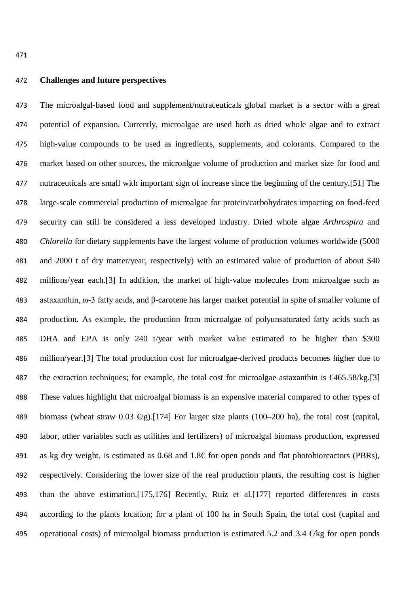#### **Challenges and future perspectives**

 The microalgal-based food and supplement/nutraceuticals global market is a sector with a great potential of expansion. Currently, microalgae are used both as dried whole algae and to extract high-value compounds to be used as ingredients, supplements, and colorants. Compared to the market based on other sources, the microalgae volume of production and market size for food and nutraceuticals are small with important sign of increase since the beginning of the century.[51] The large-scale commercial production of microalgae for protein/carbohydrates impacting on food-feed security can still be considered a less developed industry. Dried whole algae *Arthrospira* and *Chlorella* for dietary supplements have the largest volume of production volumes worldwide (5000 and 2000 t of dry matter/year, respectively) with an estimated value of production of about \$40 millions/year each.[3] In addition, the market of high-value molecules from microalgae such as astaxanthin, ω-3 fatty acids, and β-carotene has larger market potential in spite of smaller volume of production. As example, the production from microalgae of polyunsaturated fatty acids such as DHA and EPA is only 240 t/year with market value estimated to be higher than \$300 million/year.[3] The total production cost for microalgae-derived products becomes higher due to 487 the extraction techniques; for example, the total cost for microalgae astaxanthin is  $\epsilon$ 465.58/kg.[3] These values highlight that microalgal biomass is an expensive material compared to other types of 489 biomass (wheat straw 0.03  $\epsilon$ g).[174] For larger size plants (100–200 ha), the total cost (capital, labor, other variables such as utilities and fertilizers) of microalgal biomass production, expressed 491 as kg dry weight, is estimated as 0.68 and  $1.8 \text{ } \infty$  for open ponds and flat photobioreactors (PBRs), respectively. Considering the lower size of the real production plants, the resulting cost is higher than the above estimation.[175,176] Recently, Ruiz et al.[177] reported differences in costs according to the plants location; for a plant of 100 ha in South Spain, the total cost (capital and 495 operational costs) of microalgal biomass production is estimated 5.2 and 3.4  $\oplus$ kg for open ponds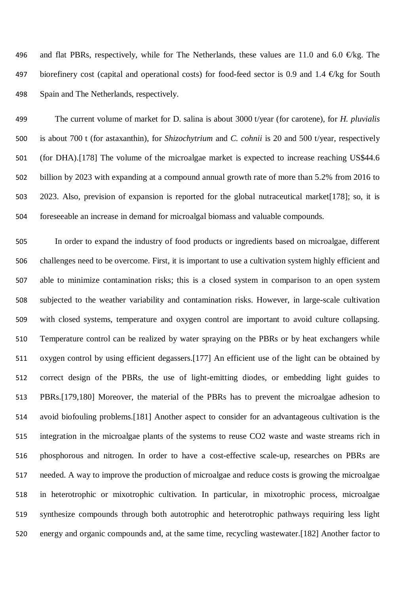496 and flat PBRs, respectively, while for The Netherlands, these values are 11.0 and 6.0  $\bigoplus$ kg. The 497 biorefinery cost (capital and operational costs) for food-feed sector is 0.9 and 1.4  $\oplus$ kg for South Spain and The Netherlands, respectively.

 The current volume of market for D. salina is about 3000 t/year (for carotene), for *H. pluvialis* is about 700 t (for astaxanthin), for *Shizochytrium* and *C. cohnii* is 20 and 500 t/year, respectively (for DHA).[178] The volume of the microalgae market is expected to increase reaching US\$44.6 billion by 2023 with expanding at a compound annual growth rate of more than 5.2% from 2016 to 2023. Also, prevision of expansion is reported for the global nutraceutical market[178]; so, it is foreseeable an increase in demand for microalgal biomass and valuable compounds.

 In order to expand the industry of food products or ingredients based on microalgae, different challenges need to be overcome. First, it is important to use a cultivation system highly efficient and able to minimize contamination risks; this is a closed system in comparison to an open system subjected to the weather variability and contamination risks. However, in large-scale cultivation with closed systems, temperature and oxygen control are important to avoid culture collapsing. Temperature control can be realized by water spraying on the PBRs or by heat exchangers while oxygen control by using efficient degassers.[177] An efficient use of the light can be obtained by correct design of the PBRs, the use of light-emitting diodes, or embedding light guides to PBRs.[179,180] Moreover, the material of the PBRs has to prevent the microalgae adhesion to avoid biofouling problems.[181] Another aspect to consider for an advantageous cultivation is the integration in the microalgae plants of the systems to reuse CO2 waste and waste streams rich in phosphorous and nitrogen. In order to have a cost-effective scale-up, researches on PBRs are needed. A way to improve the production of microalgae and reduce costs is growing the microalgae in heterotrophic or mixotrophic cultivation. In particular, in mixotrophic process, microalgae synthesize compounds through both autotrophic and heterotrophic pathways requiring less light energy and organic compounds and, at the same time, recycling wastewater.[182] Another factor to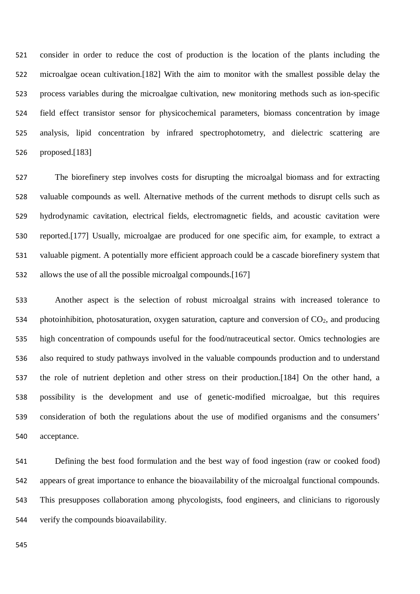consider in order to reduce the cost of production is the location of the plants including the microalgae ocean cultivation.[182] With the aim to monitor with the smallest possible delay the process variables during the microalgae cultivation, new monitoring methods such as ion-specific field effect transistor sensor for physicochemical parameters, biomass concentration by image analysis, lipid concentration by infrared spectrophotometry, and dielectric scattering are proposed.[183]

 The biorefinery step involves costs for disrupting the microalgal biomass and for extracting valuable compounds as well. Alternative methods of the current methods to disrupt cells such as hydrodynamic cavitation, electrical fields, electromagnetic fields, and acoustic cavitation were reported.[177] Usually, microalgae are produced for one specific aim, for example, to extract a valuable pigment. A potentially more efficient approach could be a cascade biorefinery system that allows the use of all the possible microalgal compounds.[167]

 Another aspect is the selection of robust microalgal strains with increased tolerance to 534 photoinhibition, photosaturation, oxygen saturation, capture and conversion of  $CO<sub>2</sub>$ , and producing high concentration of compounds useful for the food/nutraceutical sector. Omics technologies are also required to study pathways involved in the valuable compounds production and to understand the role of nutrient depletion and other stress on their production.[184] On the other hand, a possibility is the development and use of genetic-modified microalgae, but this requires consideration of both the regulations about the use of modified organisms and the consumers' acceptance.

 Defining the best food formulation and the best way of food ingestion (raw or cooked food) appears of great importance to enhance the bioavailability of the microalgal functional compounds. This presupposes collaboration among phycologists, food engineers, and clinicians to rigorously verify the compounds bioavailability.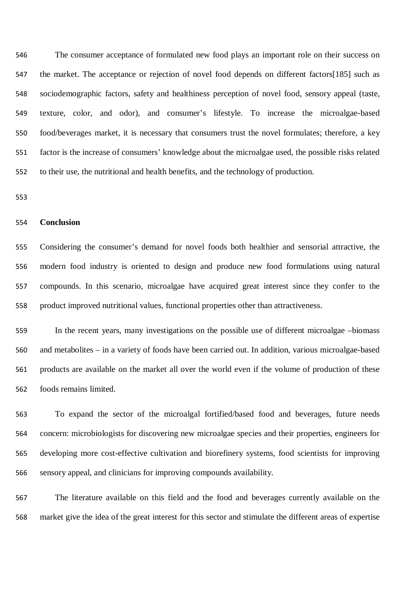The consumer acceptance of formulated new food plays an important role on their success on the market. The acceptance or rejection of novel food depends on different factors[185] such as sociodemographic factors, safety and healthiness perception of novel food, sensory appeal (taste, texture, color, and odor), and consumer's lifestyle. To increase the microalgae-based food/beverages market, it is necessary that consumers trust the novel formulates; therefore, a key factor is the increase of consumers' knowledge about the microalgae used, the possible risks related to their use, the nutritional and health benefits, and the technology of production.

## **Conclusion**

 Considering the consumer's demand for novel foods both healthier and sensorial attractive, the modern food industry is oriented to design and produce new food formulations using natural compounds. In this scenario, microalgae have acquired great interest since they confer to the product improved nutritional values, functional properties other than attractiveness.

 In the recent years, many investigations on the possible use of different microalgae –biomass and metabolites – in a variety of foods have been carried out. In addition, various microalgae-based products are available on the market all over the world even if the volume of production of these foods remains limited.

 To expand the sector of the microalgal fortified/based food and beverages, future needs concern: microbiologists for discovering new microalgae species and their properties, engineers for developing more cost-effective cultivation and biorefinery systems, food scientists for improving sensory appeal, and clinicians for improving compounds availability.

 The literature available on this field and the food and beverages currently available on the market give the idea of the great interest for this sector and stimulate the different areas of expertise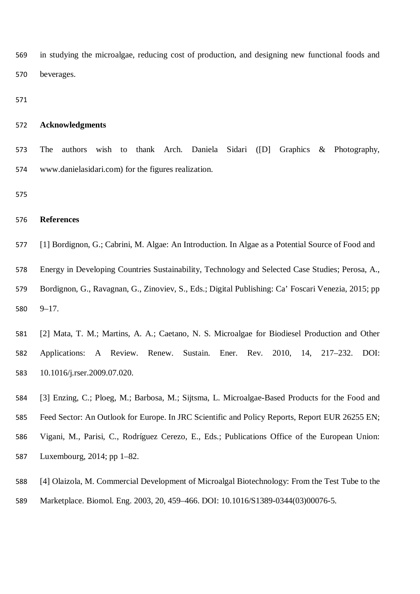in studying the microalgae, reducing cost of production, and designing new functional foods and beverages.

#### **Acknowledgments**

 The authors wish to thank Arch. Daniela Sidari ([D] Graphics & Photography, www.danielasidari.com) for the figures realization.

# **References**

[1] Bordignon, G.; Cabrini, M. Algae: An Introduction. In Algae as a Potential Source of Food and

Energy in Developing Countries Sustainability, Technology and Selected Case Studies; Perosa, A.,

 Bordignon, G., Ravagnan, G., Zinoviev, S., Eds.; Digital Publishing: Ca' Foscari Venezia, 2015; pp 9–17.

 [2] Mata, T. M.; Martins, A. A.; Caetano, N. S. Microalgae for Biodiesel Production and Other Applications: A Review. Renew. Sustain. Ener. Rev. 2010, 14, 217–232. DOI: 10.1016/j.rser.2009.07.020.

[3] Enzing, C.; Ploeg, M.; Barbosa, M.; Sijtsma, L. Microalgae-Based Products for the Food and

Feed Sector: An Outlook for Europe. In JRC Scientific and Policy Reports, Report EUR 26255 EN;

- Vigani, M., Parisi, C., Rodríguez Cerezo, E., Eds.; Publications Office of the European Union: Luxembourg, 2014; pp 1–82.
- [4] Olaizola, M. Commercial Development of Microalgal Biotechnology: From the Test Tube to the
- Marketplace. Biomol. Eng. 2003, 20, 459–466. DOI: 10.1016/S1389-0344(03)00076-5.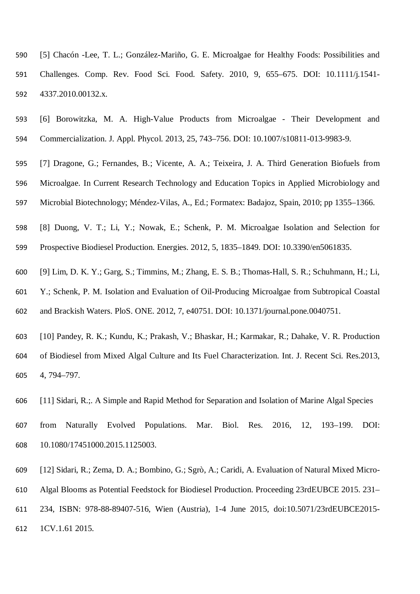- [5] Chacón -Lee, T. L.; González-Mariño, G. E. Microalgae for Healthy Foods: Possibilities and Challenges. Comp. Rev. Food Sci. Food. Safety. 2010, 9, 655–675. DOI: 10.1111/j.1541- 4337.2010.00132.x.
- [6] Borowitzka, M. A. High-Value Products from Microalgae Their Development and Commercialization. J. Appl. Phycol. 2013, 25, 743–756. DOI: 10.1007/s10811-013-9983-9.
- [7] Dragone, G.; Fernandes, B.; Vicente, A. A.; Teixeira, J. A. Third Generation Biofuels from Microalgae. In Current Research Technology and Education Topics in Applied Microbiology and
- Microbial Biotechnology; Méndez-Vilas, A., Ed.; Formatex: Badajoz, Spain, 2010; pp 1355–1366.
- [8] Duong, V. T.; Li, Y.; Nowak, E.; Schenk, P. M. Microalgae Isolation and Selection for Prospective Biodiesel Production. Energies. 2012, 5, 1835–1849. DOI: 10.3390/en5061835.
- [9] Lim, D. K. Y.; Garg, S.; Timmins, M.; Zhang, E. S. B.; Thomas-Hall, S. R.; Schuhmann, H.; Li,
- Y.; Schenk, P. M. Isolation and Evaluation of Oil-Producing Microalgae from Subtropical Coastal and Brackish Waters. PloS. ONE. 2012, 7, e40751. DOI: 10.1371/journal.pone.0040751.
- [10] Pandey, R. K.; Kundu, K.; Prakash, V.; Bhaskar, H.; Karmakar, R.; Dahake, V. R. Production of Biodiesel from Mixed Algal Culture and Its Fuel Characterization. Int. J. Recent Sci. Res.2013, 4, 794–797.
- [11] Sidari, R.;. A Simple and Rapid Method for Separation and Isolation of Marine Algal Species
- from Naturally Evolved Populations. Mar. Biol. Res. 2016, 12, 193–199. DOI: 10.1080/17451000.2015.1125003.
- [12] Sidari, R.; Zema, D. A.; Bombino, G.; Sgrò, A.; Caridi, A. Evaluation of Natural Mixed Micro-
- Algal Blooms as Potential Feedstock for Biodiesel Production. Proceeding 23rdEUBCE 2015. 231–
- 234, ISBN: 978-88-89407-516, Wien (Austria), 1-4 June 2015, doi:10.5071/23rdEUBCE2015- 1CV.1.61 2015.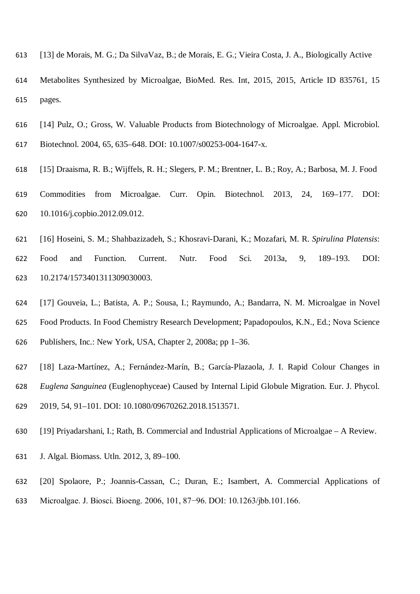- [13] de Morais, M. G.; Da SilvaVaz, B.; de Morais, E. G.; Vieira Costa, J. A., Biologically Active
- Metabolites Synthesized by Microalgae, BioMed. Res. Int, 2015, 2015, Article ID 835761, 15 pages.
- [14] Pulz, O.; Gross, W. Valuable Products from Biotechnology of Microalgae. Appl. Microbiol. Biotechnol. 2004, 65, 635–648. DOI: 10.1007/s00253-004-1647-x.
- [15] Draaisma, R. B.; Wijffels, R. H.; Slegers, P. M.; Brentner, L. B.; Roy, A.; Barbosa, M. J. Food Commodities from Microalgae. Curr. Opin. Biotechnol. 2013, 24, 169–177. DOI: 10.1016/j.copbio.2012.09.012.
- [16] Hoseini, S. M.; Shahbazizadeh, S.; Khosravi-Darani, K.; Mozafari, M. R. *Spirulina Platensis*: Food and Function. Current. Nutr. Food Sci. 2013a, 9, 189–193. DOI: 10.2174/1573401311309030003.
- [17] Gouveia, L.; Batista, A. P.; Sousa, I.; Raymundo, A.; Bandarra, N. M. Microalgae in Novel Food Products. In Food Chemistry Research Development; Papadopoulos, K.N., Ed.; Nova Science Publishers, Inc.: New York, USA, Chapter 2, 2008a; pp 1–36.
- [18] Laza-Martínez, A.; Fernández-Marín, B.; García-Plazaola, J. I. Rapid Colour Changes in *Euglena Sanguinea* (Euglenophyceae) Caused by Internal Lipid Globule Migration. Eur. J. Phycol. 2019, 54, 91–101. DOI: 10.1080/09670262.2018.1513571.
- [19] Priyadarshani, I.; Rath, B. Commercial and Industrial Applications of Microalgae A Review.
- J. Algal. Biomass. Utln. 2012, 3, 89–100.
- [20] Spolaore, P.; Joannis-Cassan, C.; Duran, E.; Isambert, A. Commercial Applications of
- Microalgae. J. Biosci. Bioeng. 2006, 101, 87−96. DOI: 10.1263/jbb.101.166.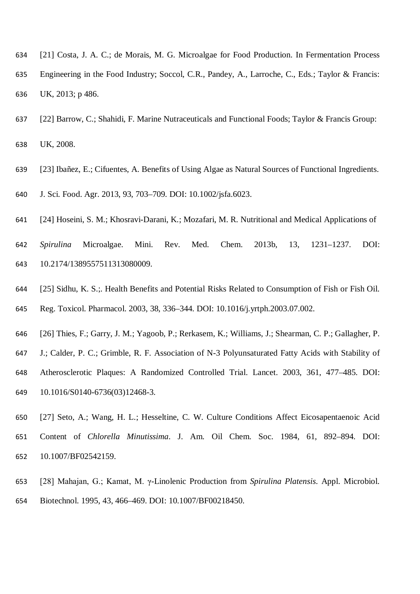- [21] Costa, J. A. C.; de Morais, M. G. Microalgae for Food Production. In Fermentation Process Engineering in the Food Industry; Soccol, C.R., Pandey, A., Larroche, C., Eds.; Taylor & Francis: UK, 2013; p 486.
- [22] Barrow, C.; Shahidi, F. Marine Nutraceuticals and Functional Foods; Taylor & Francis Group: UK, 2008.
- [23] Ibañez, E.; Cifuentes, A. Benefits of Using Algae as Natural Sources of Functional Ingredients.
- J. Sci. Food. Agr. 2013, 93, 703–709. DOI: 10.1002/jsfa.6023.
- [24] Hoseini, S. M.; Khosravi-Darani, K.; Mozafari, M. R. Nutritional and Medical Applications of
- *Spirulina* Microalgae. Mini. Rev. Med. Chem. 2013b, 13, 1231–1237. DOI: 10.2174/1389557511313080009.
- [25] Sidhu, K. S.;. Health Benefits and Potential Risks Related to Consumption of Fish or Fish Oil. Reg. Toxicol. Pharmacol. 2003, 38, 336–344. DOI: 10.1016/j.yrtph.2003.07.002.
- [26] Thies, F.; Garry, J. M.; Yagoob, P.; Rerkasem, K.; Williams, J.; Shearman, C. P.; Gallagher, P.
- J.; Calder, P. C.; Grimble, R. F. Association of N-3 Polyunsaturated Fatty Acids with Stability of Atherosclerotic Plaques: A Randomized Controlled Trial. Lancet. 2003, 361, 477–485. DOI: 10.1016/S0140-6736(03)12468-3.
- [27] Seto, A.; Wang, H. L.; Hesseltine, C. W. Culture Conditions Affect Eicosapentaenoic Acid Content of *Chlorella Minutissima*. J. Am. Oil Chem. Soc. 1984, 61, 892–894. DOI: 10.1007/BF02542159.
- [28] Mahajan, G.; Kamat, M. γ-Linolenic Production from *Spirulina Platensis*. Appl. Microbiol. Biotechnol. 1995, 43, 466–469. DOI: 10.1007/BF00218450.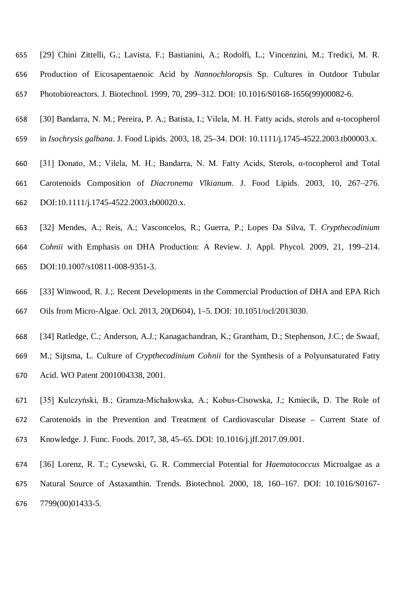- [29] Chini Zittelli, G.; Lavista, F.; Bastianini, A.; Rodolfi, L.; Vincenzini, M.; Tredici, M. R. Production of Eicosapentaenoic Acid by *Nannochloropsis* Sp. Cultures in Outdoor Tubular Photobioreactors. J. Biotechnol. 1999, 70, 299–312. DOI: 10.1016/S0168-1656(99)00082-6.
- [30] Bandarra, N. M.; Pereira, P. A.; Batista, I.; Vilela, M. H. Fatty acids, sterols and α-tocopherol
- in *Isochrysis galbana*. J. Food Lipids. 2003, 18, 25–34. DOI: 10.1111/j.1745-4522.2003.tb00003.x.
- [31] Donato, M.; Vilela, M. H.; Bandarra, N. M. Fatty Acids, Sterols, α-tocopherol and Total Carotenoids Composition of *Diacronema Vlkianum*. J. Food Lipids. 2003, 10, 267–276. DOI:10.1111/j.1745-4522.2003.tb00020.x.
- [32] Mendes, A.; Reis, A.; Vasconcelos, R.; Guerra, P.; Lopes Da Silva, T. *Crypthecodinium Cohnii* with Emphasis on DHA Production: A Review. J. Appl. Phycol. 2009, 21, 199–214. DOI:10.1007/s10811-008-9351-3.
- [33] Winwood, R. J.;. Recent Developments in the Commercial Production of DHA and EPA Rich Oils from Micro-Algae. Ocl. 2013, 20(D604), 1–5. DOI: 10.1051/ocl/2013030.
- [34] Ratledge, C.; Anderson, A.J.; Kanagachandran, K.; Grantham, D.; Stephenson, J.C.; de Swaaf,
- M.; Sijtsma, L. Culture of *Crypthecodinium Cohnii* for the Synthesis of a Polyunsaturated Fatty Acid. WO Patent 2001004338, 2001.
- [35] Kulczyński, B.; Gramza-Michałowska, A.; Kobus-Cisowska, J.; Kmiecik, D. The Role of Carotenoids in the Prevention and Treatment of Cardiovascular Disease – Current State of Knowledge. J. Func. Foods. 2017, 38, 45–65. DOI: 10.1016/j.jff.2017.09.001.
- [36] Lorenz, R. T.; Cysewski, G. R. Commercial Potential for *Haematococcus* Microalgae as a Natural Source of Astaxanthin. Trends. Biotechnol. 2000, 18, 160–167. DOI: 10.1016/S0167- 7799(00)01433-5.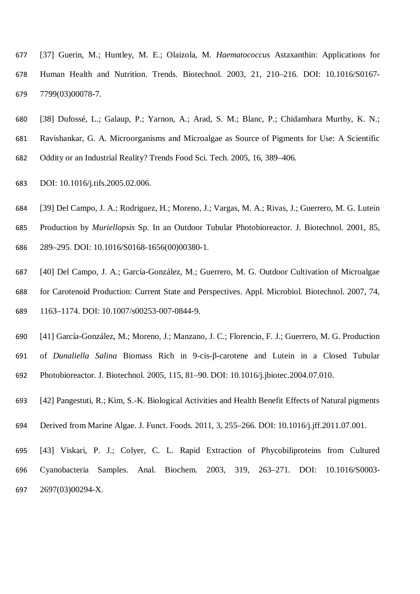- [37] Guerin, M.; Huntley, M. E.; Olaizola, M. *Haematococcus* Astaxanthin: Applications for Human Health and Nutrition. Trends. Biotechnol. 2003, 21, 210–216. DOI: 10.1016/S0167- 7799(03)00078-7.
- [38] Dufossé, L.; Galaup, P.; Yarnon, A.; Arad, S. M.; Blanc, P.; Chidambara Murthy, K. N.;
- Ravishankar, G. A. Microorganisms and Microalgae as Source of Pigments for Use: A Scientific
- Oddity or an Industrial Reality? Trends Food Sci. Tech. 2005, 16, 389–406.
- DOI: 10.1016/j.tifs.2005.02.006.
- [39] Del Campo, J. A.; Rodriguez, H.; Moreno, J.; Vargas, M. A.; Rivas, J.; Guerrero, M. G. Lutein
- Production by *Muriellopsis* Sp. In an Outdoor Tubular Photobioreactor. J. Biotechnol. 2001, 85, 289–295. DOI: 10.1016/S0168-1656(00)00380-1.
- [40] Del Campo, J. A.; García-González, M.; Guerrero, M. G. Outdoor Cultivation of Microalgae for Carotenoid Production: Current State and Perspectives. Appl. Microbiol. Biotechnol. 2007, 74, 1163–1174. DOI: 10.1007/s00253-007-0844-9.
- [41] García-González, M.; Moreno, J.; Manzano, J. C.; Florencio, F. J.; Guerrero, M. G. Production
- of *Dunaliella Salina* Biomass Rich in 9-cis-β-carotene and Lutein in a Closed Tubular
- Photobioreactor. J. Biotechnol. 2005, 115, 81–90. DOI: 10.1016/j.jbiotec.2004.07.010.
- [42] Pangestuti, R.; Kim, S.-K. Biological Activities and Health Benefit Effects of Natural pigments
- Derived from Marine Algae. J. Funct. Foods. 2011, 3, 255–266. DOI: 10.1016/j.jff.2011.07.001.
- [43] Viskari, P. J.; Colyer, C. L. Rapid Extraction of Phycobiliproteins from Cultured Cyanobacteria Samples. Anal. Biochem. 2003, 319, 263–271. DOI: 10.1016/S0003- 2697(03)00294-X.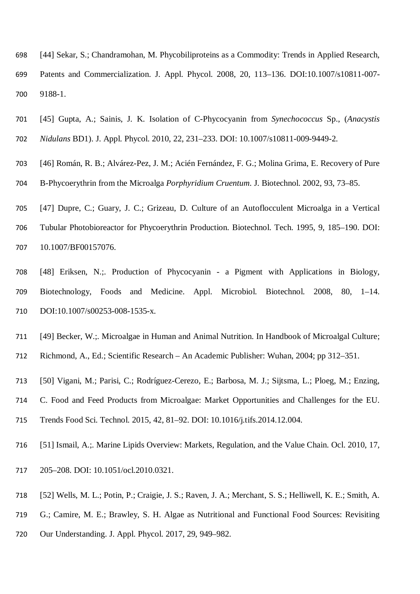- [44] Sekar, S.; Chandramohan, M. Phycobiliproteins as a Commodity: Trends in Applied Research, Patents and Commercialization. J. Appl. Phycol. 2008, 20, 113–136. DOI:10.1007/s10811-007- 9188-1.
- [45] Gupta, A.; Sainis, J. K. Isolation of C-Phycocyanin from *Synechococcus* Sp., (*Anacystis Nidulans* BD1). J. Appl. Phycol. 2010, 22, 231–233. DOI: 10.1007/s10811-009-9449-2.
- [46] Román, R. B.; Alvárez-Pez, J. M.; Acién Fernández, F. G.; Molina Grima, E. Recovery of Pure B-Phycoerythrin from the Microalga *Porphyridium Cruentum*. J. Biotechnol. 2002, 93, 73–85.
- [47] Dupre, C.; Guary, J. C.; Grizeau, D. Culture of an Autoflocculent Microalga in a Vertical
- Tubular Photobioreactor for Phycoerythrin Production. Biotechnol. Tech. 1995, 9, 185–190. DOI: 10.1007/BF00157076.
- [48] Eriksen, N.;. Production of Phycocyanin a Pigment with Applications in Biology, Biotechnology, Foods and Medicine. Appl. Microbiol. Biotechnol. 2008, 80, 1–14. DOI:10.1007/s00253-008-1535-x.
- [49] Becker, W.;. Microalgae in Human and Animal Nutrition. In Handbook of Microalgal Culture;
- Richmond, A., Ed.; Scientific Research An Academic Publisher: Wuhan, 2004; pp 312–351.
- [50] Vigani, M.; Parisi, C.; Rodríguez-Cerezo, E.; Barbosa, M. J.; Sijtsma, L.; Ploeg, M.; Enzing,
- C. Food and Feed Products from Microalgae: Market Opportunities and Challenges for the EU.
- Trends Food Sci. Technol. 2015, 42, 81–92. DOI: 10.1016/j.tifs.2014.12.004.
- [51] Ismail, A.;. Marine Lipids Overview: Markets, Regulation, and the Value Chain. Ocl. 2010, 17,
- 205–208. DOI: 10.1051/ocl.2010.0321.
- [52] Wells, M. L.; Potin, P.; Craigie, J. S.; Raven, J. A.; Merchant, S. S.; Helliwell, K. E.; Smith, A.
- G.; Camire, M. E.; Brawley, S. H. Algae as Nutritional and Functional Food Sources: Revisiting
- Our Understanding. J. Appl. Phycol. 2017, 29, 949–982.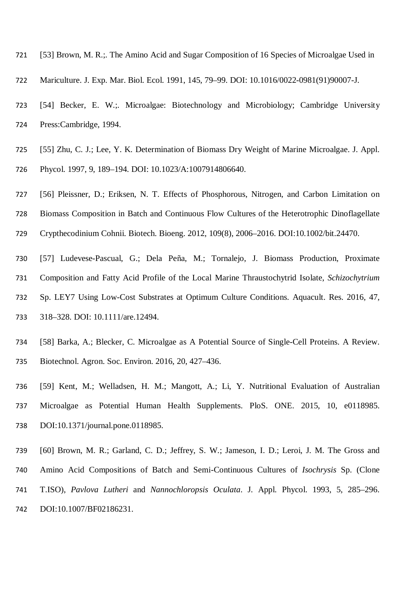- [53] Brown, M. R.;. The Amino Acid and Sugar Composition of 16 Species of Microalgae Used in
- Mariculture. J. Exp. Mar. Biol. Ecol. 1991, 145, 79–99. DOI: 10.1016/0022-0981(91)90007-J.
- 723 [54] Becker, E. W.:. Microalgae: Biotechnology and Microbiology; Cambridge University Press:Cambridge, 1994.
- [55] Zhu, C. J.; Lee, Y. K. Determination of Biomass Dry Weight of Marine Microalgae. J. Appl.
- Phycol. 1997, 9, 189–194. DOI: 10.1023/A:1007914806640.
- [56] Pleissner, D.; Eriksen, N. T. Effects of Phosphorous, Nitrogen, and Carbon Limitation on
- Biomass Composition in Batch and Continuous Flow Cultures of the Heterotrophic Dinoflagellate
- Crypthecodinium Cohnii. Biotech. Bioeng. 2012, 109(8), 2006–2016. DOI:10.1002/bit.24470.
- [57] Ludevese-Pascual, G.; Dela Peña, M.; Tornalejo, J. Biomass Production, Proximate Composition and Fatty Acid Profile of the Local Marine Thraustochytrid Isolate, *Schizochytrium* Sp. LEY7 Using Low-Cost Substrates at Optimum Culture Conditions. Aquacult. Res. 2016, 47, 318–328. DOI: 10.1111/are.12494.
- [58] Barka, A.; Blecker, C. Microalgae as A Potential Source of Single-Cell Proteins. A Review. Biotechnol. Agron. Soc. Environ. 2016, 20, 427–436.
- [59] Kent, M.; Welladsen, H. M.; Mangott, A.; Li, Y. Nutritional Evaluation of Australian Microalgae as Potential Human Health Supplements. PloS. ONE. 2015, 10, e0118985. DOI:10.1371/journal.pone.0118985.
- [60] Brown, M. R.; Garland, C. D.; Jeffrey, S. W.; Jameson, I. D.; Leroi, J. M. The Gross and Amino Acid Compositions of Batch and Semi-Continuous Cultures of *Isochrysis* Sp. (Clone T.ISO), *Pavlova Lutheri* and *Nannochloropsis Oculata*. J. Appl. Phycol. 1993, 5, 285–296. DOI:10.1007/BF02186231.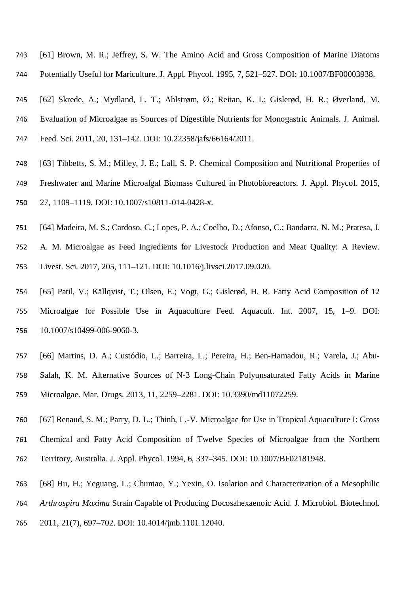- [61] Brown, M. R.; Jeffrey, S. W. The Amino Acid and Gross Composition of Marine Diatoms Potentially Useful for Mariculture. J. Appl. Phycol. 1995, 7, 521–527. DOI: 10.1007/BF00003938.
- [62] Skrede, A.; Mydland, L. T.; Ahlstrøm, Ø.; Reitan, K. I.; Gislerød, H. R.; Øverland, M.
- Evaluation of Microalgae as Sources of Digestible Nutrients for Monogastric Animals. J. Animal.
- Feed. Sci. 2011, 20, 131–142. DOI: 10.22358/jafs/66164/2011.
- [63] Tibbetts, S. M.; Milley, J. E.; Lall, S. P. Chemical Composition and Nutritional Properties of Freshwater and Marine Microalgal Biomass Cultured in Photobioreactors. J. Appl. Phycol. 2015, 27, 1109–1119. DOI: 10.1007/s10811-014-0428-x.
- [64] Madeira, M. S.; Cardoso, C.; Lopes, P. A.; Coelho, D.; Afonso, C.; Bandarra, N. M.; Pratesa, J. A. M. Microalgae as Feed Ingredients for Livestock Production and Meat Quality: A Review. Livest. Sci. 2017, 205, 111–121. DOI: 10.1016/j.livsci.2017.09.020.
- [65] Patil, V.; Källqvist, T.; Olsen, E.; Vogt, G.; Gislerød, H. R. Fatty Acid Composition of 12 Microalgae for Possible Use in Aquaculture Feed. Aquacult. Int. 2007, 15, 1–9. DOI: 10.1007/s10499-006-9060-3.
- [66] Martins, D. A.; Custódio, L.; Barreira, L.; Pereira, H.; Ben-Hamadou, R.; Varela, J.; Abu- Salah, K. M. Alternative Sources of N-3 Long-Chain Polyunsaturated Fatty Acids in Marine Microalgae. Mar. Drugs. 2013, 11, 2259–2281. DOI: 10.3390/md11072259.
- [67] Renaud, S. M.; Parry, D. L.; Thinh, L.-V. Microalgae for Use in Tropical Aquaculture I: Gross
- Chemical and Fatty Acid Composition of Twelve Species of Microalgae from the Northern
- Territory, Australia. J. Appl. Phycol. 1994, 6, 337–345. DOI: 10.1007/BF02181948.
- [68] Hu, H.; Yeguang, L.; Chuntao, Y.; Yexin, O. Isolation and Characterization of a Mesophilic
- *Arthrospira Maxima* Strain Capable of Producing Docosahexaenoic Acid. J. Microbiol. Biotechnol.
- 2011, 21(7), 697–702. DOI: 10.4014/jmb.1101.12040.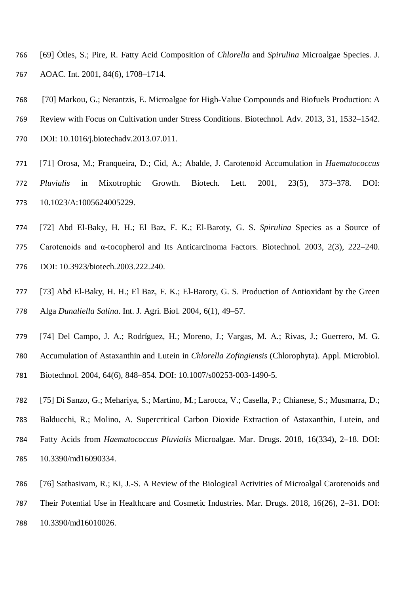- [69] Ötles, S.; Pire, R. Fatty Acid Composition of *Chlorella* and *Spirulina* Microalgae Species. J. AOAC. Int. 2001, 84(6), 1708–1714.
- [70] Markou, G.; Nerantzis, E. Microalgae for High-Value Compounds and Biofuels Production: A
- Review with Focus on Cultivation under Stress Conditions. Biotechnol. Adv. 2013, 31, 1532–1542.
- DOI: 10.1016/j.biotechadv.2013.07.011.
- [71] Orosa, M.; Franqueira, D.; Cid, A.; Abalde, J. Carotenoid Accumulation in *Haematococcus Pluvialis* in Mixotrophic Growth. Biotech. Lett. 2001, 23(5), 373–378. DOI: 10.1023/A:1005624005229.
- [72] Abd El-Baky, H. H.; El Baz, F. K.; El-Baroty, G. S. *Spirulina* Species as a Source of Carotenoids and α-tocopherol and Its Anticarcinoma Factors. Biotechnol. 2003, 2(3), 222–240. DOI: 10.3923/biotech.2003.222.240.
- [73] Abd El-Baky, H. H.; El Baz, F. K.; El-Baroty, G. S. Production of Antioxidant by the Green Alga *Dunaliella Salina*. Int. J. Agri. Biol. 2004, 6(1), 49–57.
- [74] Del Campo, J. A.; Rodríguez, H.; Moreno, J.; Vargas, M. A.; Rivas, J.; Guerrero, M. G. Accumulation of Astaxanthin and Lutein in *Chlorella Zofingiensis* (Chlorophyta). Appl. Microbiol. Biotechnol. 2004, 64(6), 848–854. DOI: 10.1007/s00253-003-1490-5.
- [75] Di Sanzo, G.; Mehariya, S.; Martino, M.; Larocca, V.; Casella, P.; Chianese, S.; Musmarra, D.; Balducchi, R.; Molino, A. Supercritical Carbon Dioxide Extraction of Astaxanthin, Lutein, and Fatty Acids from *Haematococcus Pluvialis* Microalgae. Mar. Drugs. 2018, 16(334), 2–18. DOI: 10.3390/md16090334.
- [76] Sathasivam, R.; Ki, J.-S. A Review of the Biological Activities of Microalgal Carotenoids and Their Potential Use in Healthcare and Cosmetic Industries. Mar. Drugs. 2018, 16(26), 2–31. DOI:
- 10.3390/md16010026.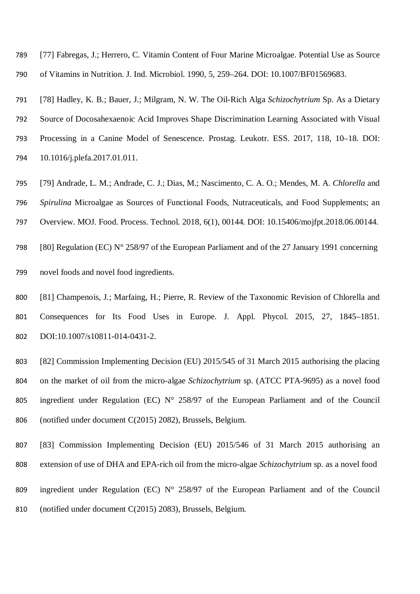[77] Fabregas, J.; Herrero, C. Vitamin Content of Four Marine Microalgae. Potential Use as Source of Vitamins in Nutrition. J. Ind. Microbiol. 1990, 5, 259–264. DOI: 10.1007/BF01569683.

[78] Hadley, K. B.; Bauer, J.; Milgram, N. W. The Oil-Rich Alga *Schizochytrium* Sp. As a Dietary

Source of Docosahexaenoic Acid Improves Shape Discrimination Learning Associated with Visual

- Processing in a Canine Model of Senescence. Prostag. Leukotr. ESS. 2017, 118, 10–18. DOI: 10.1016/j.plefa.2017.01.011.
- [79] Andrade, L. M.; Andrade, C. J.; Dias, M.; Nascimento, C. A. O.; Mendes, M. A. *Chlorella* and *Spirulina* Microalgae as Sources of Functional Foods, Nutraceuticals, and Food Supplements; an

Overview. MOJ. Food. Process. Technol. 2018, 6(1), 00144. DOI: 10.15406/mojfpt.2018.06.00144.

- [80] Regulation (EC) N° 258/97 of the European Parliament and of the 27 January 1991 concerning novel foods and novel food ingredients.
- 
- 800 [81] Champenois, J.; Marfaing, H.; Pierre, R. Review of the Taxonomic Revision of Chlorella and Consequences for Its Food Uses in Europe. J. Appl. Phycol. 2015, 27, 1845–1851. DOI:10.1007/s10811-014-0431-2.
- [82] Commission Implementing Decision (EU) 2015/545 of 31 March 2015 authorising the placing on the market of oil from the micro-algae *Schizochytrium* sp. (ATCC PTA-9695) as a novel food ingredient under Regulation (EC) N° 258/97 of the European Parliament and of the Council (notified under document C(2015) 2082), Brussels, Belgium.
- [83] Commission Implementing Decision (EU) 2015/546 of 31 March 2015 authorising an extension of use of DHA and EPA-rich oil from the micro-algae *Schizochytrium* sp. as a novel food
- ingredient under Regulation (EC) N° 258/97 of the European Parliament and of the Council (notified under document C(2015) 2083), Brussels, Belgium.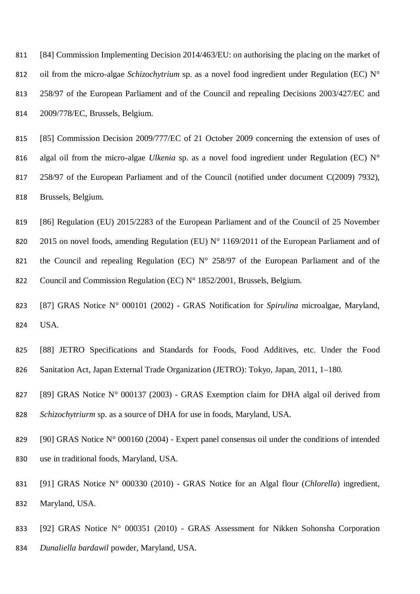[84] Commission Implementing Decision 2014/463/EU: on authorising the placing on the market of oil from the micro-algae *Schizochytrium* sp. as a novel food ingredient under Regulation (EC) N° 258/97 of the European Parliament and of the Council and repealing Decisions 2003/427/EC and 2009/778/EC, Brussels, Belgium.

 [85] Commission Decision 2009/777/EC of 21 October 2009 concerning the extension of uses of algal oil from the micro-algae *Ulkenia* sp. as a novel food ingredient under Regulation (EC) N° 258/97 of the European Parliament and of the Council (notified under document C(2009) 7932), Brussels, Belgium.

 [86] Regulation (EU) 2015/2283 of the European Parliament and of the Council of 25 November 820 2015 on novel foods, amending Regulation (EU) N° 1169/2011 of the European Parliament and of 821 the Council and repealing Regulation (EC)  $N^{\circ}$  258/97 of the European Parliament and of the 822 Council and Commission Regulation (EC) N° 1852/2001, Brussels, Belgium.

 [87] GRAS Notice N° 000101 (2002) - GRAS Notification for *Spirulina* microalgae, Maryland, USA.

 [88] JETRO Specifications and Standards for Foods, Food Additives, etc. Under the Food Sanitation Act, Japan External Trade Organization (JETRO): Tokyo, Japan, 2011, 1–180.

827 [89] GRAS Notice N° 000137 (2003) - GRAS Exemption claim for DHA algal oil derived from *Schizochytriurm* sp. as a source of DHA for use in foods, Maryland, USA.

 [90] GRAS Notice N° 000160 (2004) - Expert panel consensus oil under the conditions of intended use in traditional foods, Maryland, USA.

 [91] GRAS Notice N° 000330 (2010) - GRAS Notice for an Algal flour (*Chlorella*) ingredient, Maryland, USA.

 [92] GRAS Notice N° 000351 (2010) - GRAS Assessment for Nikken Sohonsha Corporation *Dunaliella bardawil* powder, Maryland, USA.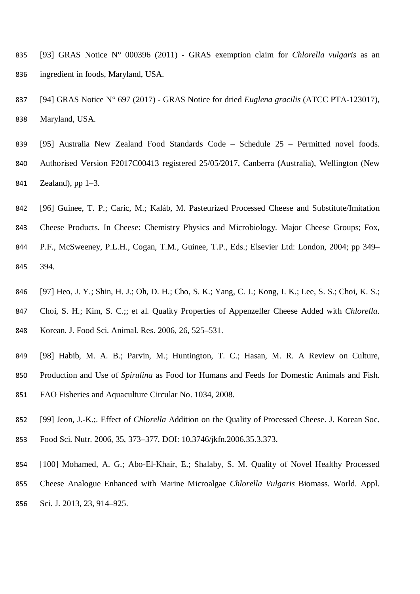- [93] GRAS Notice N° 000396 (2011) GRAS exemption claim for *Chlorella vulgaris* as an ingredient in foods, Maryland, USA.
- [94] GRAS Notice N° 697 (2017) GRAS Notice for dried *Euglena gracilis* (ATCC PTA-123017), Maryland, USA.
- [95] Australia New Zealand Food Standards Code Schedule 25 Permitted novel foods. Authorised Version F2017C00413 registered 25/05/2017, Canberra (Australia), Wellington (New Zealand), pp 1–3.
- [96] Guinee, T. P.; Caric, M.; Kaláb, M. Pasteurized Processed Cheese and Substitute/Imitation Cheese Products. In Cheese: Chemistry Physics and Microbiology. Major Cheese Groups; Fox, P.F., McSweeney, P.L.H., Cogan, T.M., Guinee, T.P., Eds.; Elsevier Ltd: London, 2004; pp 349– 394.
- [97] Heo, J. Y.; Shin, H. J.; Oh, D. H.; Cho, S. K.; Yang, C. J.; Kong, I. K.; Lee, S. S.; Choi, K. S.; Choi, S. H.; Kim, S. C.;; et al. Quality Properties of Appenzeller Cheese Added with *Chlorella*. Korean. J. Food Sci. Animal. Res. 2006, 26, 525–531.
- [98] Habib, M. A. B.; Parvin, M.; Huntington, T. C.; Hasan, M. R. A Review on Culture, Production and Use of *Spirulina* as Food for Humans and Feeds for Domestic Animals and Fish. FAO Fisheries and Aquaculture Circular No. 1034, 2008.
- [99] Jeon, J.-K.;. Effect of *Chlorella* Addition on the Quality of Processed Cheese. J. Korean Soc.
- Food Sci. Nutr. 2006, 35, 373–377. DOI: 10.3746/jkfn.2006.35.3.373.
- [100] Mohamed, A. G.; Abo-El-Khair, E.; Shalaby, S. M. Quality of Novel Healthy Processed Cheese Analogue Enhanced with Marine Microalgae *Chlorella Vulgaris* Biomass. World. Appl. Sci. J. 2013, 23, 914–925.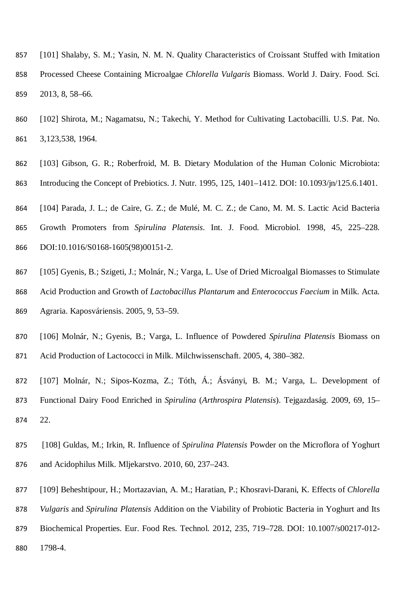- [101] Shalaby, S. M.; Yasin, N. M. N. Quality Characteristics of Croissant Stuffed with Imitation Processed Cheese Containing Microalgae *Chlorella Vulgaris* Biomass. World J. Dairy. Food. Sci. 2013, 8, 58–66.
- [102] Shirota, M.; Nagamatsu, N.; Takechi, Y. Method for Cultivating Lactobacilli. U.S. Pat. No. 3,123,538, 1964.
- [103] Gibson, G. R.; Roberfroid, M. B. Dietary Modulation of the Human Colonic Microbiota: Introducing the Concept of Prebiotics. J. Nutr. 1995, 125, 1401–1412. DOI: 10.1093/jn/125.6.1401.
- [104] Parada, J. L.; de Caire, G. Z.; de Mulé, M. C. Z.; de Cano, M. M. S. Lactic Acid Bacteria
- Growth Promoters from *Spirulina Platensis*. Int. J. Food. Microbiol. 1998, 45, 225–228. DOI:10.1016/S0168-1605(98)00151-2.
- [105] Gyenis, B.; Szigeti, J.; Molnár, N.; Varga, L. Use of Dried Microalgal Biomasses to Stimulate Acid Production and Growth of *Lactobacillus Plantarum* and *Enterococcus Faecium* in Milk. Acta. Agraria. Kaposváriensis. 2005, 9, 53–59.
- [106] Molnár, N.; Gyenis, B.; Varga, L. Influence of Powdered *Spirulina Platensis* Biomass on Acid Production of Lactococci in Milk. Milchwissenschaft. 2005, 4, 380–382.
- [107] Molnár, N.; Sipos-Kozma, Z.; Tóth, Á.; Ásványi, B. M.; Varga, L. Development of Functional Dairy Food Enriched in *Spirulina* (*Arthrospira Platensis*). Tejgazdaság. 2009, 69, 15– 22.
- [108] Guldas, M.; Irkin, R. Influence of *Spirulina Platensis* Powder on the Microflora of Yoghurt and Acidophilus Milk. Mljekarstvo. 2010, 60, 237–243.
- [109] Beheshtipour, H.; Mortazavian, A. M.; Haratian, P.; Khosravi-Darani, K. Effects of *Chlorella*
- *Vulgaris* and *Spirulina Platensis* Addition on the Viability of Probiotic Bacteria in Yoghurt and Its
- Biochemical Properties. Eur. Food Res. Technol. 2012, 235, 719–728. DOI: 10.1007/s00217-012-
- 1798-4.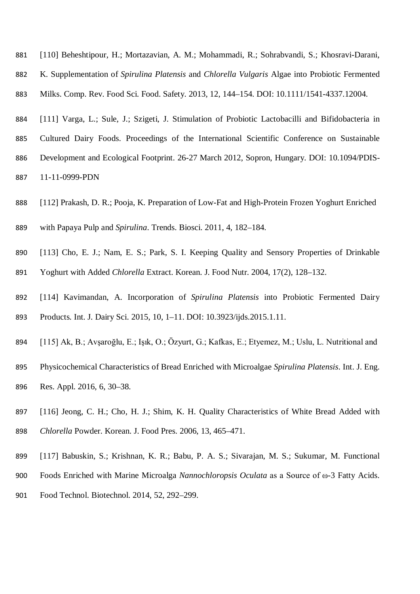- [110] Beheshtipour, H.; Mortazavian, A. M.; Mohammadi, R.; Sohrabvandi, S.; Khosravi-Darani,
- K. Supplementation of *Spirulina Platensis* and *Chlorella Vulgaris* Algae into Probiotic Fermented
- Milks. Comp. Rev. Food Sci. Food. Safety. 2013, 12, 144–154. DOI: 10.1111/1541-4337.12004.
- [111] Varga, L.; Sule, J.; Szigeti, J. Stimulation of Probiotic Lactobacilli and Bifidobacteria in Cultured Dairy Foods. Proceedings of the International Scientific Conference on Sustainable Development and Ecological Footprint. 26-27 March 2012, Sopron, Hungary. DOI: 10.1094/PDIS-11-11-0999-PDN
- [112] Prakash, D. R.; Pooja, K. Preparation of Low-Fat and High-Protein Frozen Yoghurt Enriched
- with Papaya Pulp and *Spirulina*. Trends. Biosci. 2011, 4, 182–184.
- [113] Cho, E. J.; Nam, E. S.; Park, S. I. Keeping Quality and Sensory Properties of Drinkable Yoghurt with Added *Chlorella* Extract. Korean. J. Food Nutr. 2004, 17(2), 128–132.
- [114] Kavimandan, A. Incorporation of *Spirulina Platensis* into Probiotic Fermented Dairy
- Products. Int. J. Dairy Sci. 2015, 10, 1–11. DOI: 10.3923/ijds.2015.1.11.
- [115] Ak, B.; Avşaroğlu, E.; Işık, O.; Özyurt, G.; Kafkas, E.; Etyemez, M.; Uslu, L. Nutritional and
- Physicochemical Characteristics of Bread Enriched with Microalgae *Spirulina Platensis*. Int. J. Eng. Res. Appl. 2016, 6, 30–38.
- [116] Jeong, C. H.; Cho, H. J.; Shim, K. H. Quality Characteristics of White Bread Added with *Chlorella* Powder. Korean. J. Food Pres. 2006, 13, 465–471.
- [117] Babuskin, S.; Krishnan, K. R.; Babu, P. A. S.; Sivarajan, M. S.; Sukumar, M. Functional
- Foods Enriched with Marine Microalga *Nannochloropsis Oculata* as a Source of ω-3 Fatty Acids.
- Food Technol. Biotechnol. 2014, 52, 292–299.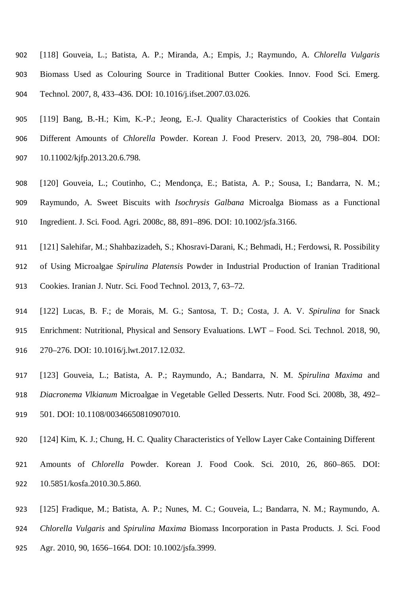- [118] Gouveia, L.; Batista, A. P.; Miranda, A.; Empis, J.; Raymundo, A. *Chlorella Vulgaris* Biomass Used as Colouring Source in Traditional Butter Cookies. Innov. Food Sci. Emerg. Technol. 2007, 8, 433–436. DOI: 10.1016/j.ifset.2007.03.026.
- [119] Bang, B.-H.; Kim, K.-P.; Jeong, E.-J. Quality Characteristics of Cookies that Contain Different Amounts of *Chlorella* Powder. Korean J. Food Preserv. 2013, 20, 798–804. DOI: 10.11002/kjfp.2013.20.6.798.
- [120] Gouveia, L.; Coutinho, C.; Mendonça, E.; Batista, A. P.; Sousa, I.; Bandarra, N. M.; Raymundo, A. Sweet Biscuits with *Isochrysis Galbana* Microalga Biomass as a Functional Ingredient. J. Sci. Food. Agri. 2008c, 88, 891–896. DOI: 10.1002/jsfa.3166.
- [121] Salehifar, M.; Shahbazizadeh, S.; Khosravi-Darani, K.; Behmadi, H.; Ferdowsi, R. Possibility of Using Microalgae *Spirulina Platensis* Powder in Industrial Production of Iranian Traditional Cookies. Iranian J. Nutr. Sci. Food Technol. 2013, 7, 63–72.
- [122] Lucas, B. F.; de Morais, M. G.; Santosa, T. D.; Costa, J. A. V. *Spirulina* for Snack Enrichment: Nutritional, Physical and Sensory Evaluations. LWT – Food. Sci. Technol. 2018, 90, 270–276. DOI: 10.1016/j.lwt.2017.12.032.
- [123] Gouveia, L.; Batista, A. P.; Raymundo, A.; Bandarra, N. M. *Spirulina Maxima* and *Diacronema Vlkianum* Microalgae in Vegetable Gelled Desserts. Nutr. Food Sci. 2008b, 38, 492– 501. DOI: 10.1108/00346650810907010.
- [124] Kim, K. J.; Chung, H. C. Quality Characteristics of Yellow Layer Cake Containing Different
- Amounts of *Chlorella* Powder. Korean J. Food Cook. Sci. 2010, 26, 860–865. DOI: 10.5851/kosfa.2010.30.5.860.
- [125] Fradique, M.; Batista, A. P.; Nunes, M. C.; Gouveia, L.; Bandarra, N. M.; Raymundo, A. *Chlorella Vulgaris* and *Spirulina Maxima* Biomass Incorporation in Pasta Products. J. Sci. Food
- Agr. 2010, 90, 1656–1664. DOI: 10.1002/jsfa.3999.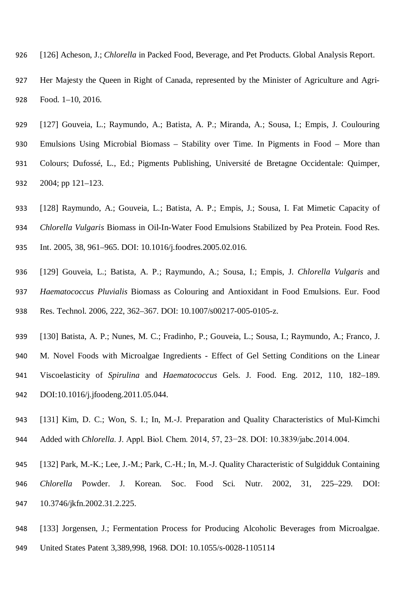- [126] Acheson, J.; *Chlorella* in Packed Food, Beverage, and Pet Products. Global Analysis Report.
- Her Majesty the Queen in Right of Canada, represented by the Minister of Agriculture and Agri-Food. 1–10, 2016.
- [127] Gouveia, L.; Raymundo, A.; Batista, A. P.; Miranda, A.; Sousa, I.; Empis, J. Coulouring Emulsions Using Microbial Biomass – Stability over Time. In Pigments in Food – More than Colours; Dufossé, L., Ed.; Pigments Publishing, Université de Bretagne Occidentale: Quimper, 2004; pp 121–123.
- [128] Raymundo, A.; Gouveia, L.; Batista, A. P.; Empis, J.; Sousa, I. Fat Mimetic Capacity of
- *Chlorella Vulgaris* Biomass in Oil-In-Water Food Emulsions Stabilized by Pea Protein. Food Res.
- Int. 2005, 38, 961–965. DOI: 10.1016/j.foodres.2005.02.016.
- [129] Gouveia, L.; Batista, A. P.; Raymundo, A.; Sousa, I.; Empis, J. *Chlorella Vulgaris* and *Haematococcus Pluvialis* Biomass as Colouring and Antioxidant in Food Emulsions. Eur. Food Res. Technol. 2006, 222, 362–367. DOI: 10.1007/s00217-005-0105-z.
- [130] Batista, A. P.; Nunes, M. C.; Fradinho, P.; Gouveia, L.; Sousa, I.; Raymundo, A.; Franco, J. M. Novel Foods with Microalgae Ingredients - Effect of Gel Setting Conditions on the Linear Viscoelasticity of *Spirulina* and *Haematococcus* Gels. J. Food. Eng. 2012, 110, 182–189.
- DOI:10.1016/j.jfoodeng.2011.05.044.
- [131] Kim, D. C.; Won, S. I.; In, M.-J. Preparation and Quality Characteristics of Mul-Kimchi 944 Added with *Chlorella*. J. Appl. Biol. Chem. 2014, 57, 23–28. DOI: 10.3839/jabc.2014.004.
- [132] Park, M.-K.; Lee, J.-M.; Park, C.-H.; In, M.-J. Quality Characteristic of Sulgidduk Containing
- *Chlorella* Powder. J. Korean. Soc. Food Sci. Nutr. 2002, 31, 225–229. DOI: 10.3746/jkfn.2002.31.2.225.
- [133] Jorgensen, J.; Fermentation Process for Producing Alcoholic Beverages from Microalgae.
- United States Patent 3,389,998, 1968. DOI: 10.1055/s-0028-1105114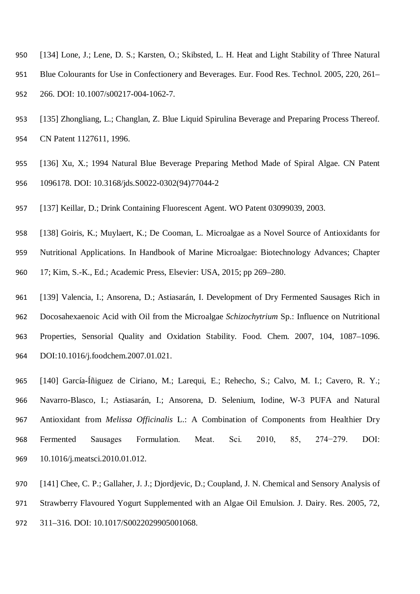- [134] Lone, J.; Lene, D. S.; Karsten, O.; Skibsted, L. H. Heat and Light Stability of Three Natural
- Blue Colourants for Use in Confectionery and Beverages. Eur. Food Res. Technol. 2005, 220, 261– 266. DOI: 10.1007/s00217-004-1062-7.
- [135] Zhongliang, L.; Changlan, Z. Blue Liquid Spirulina Beverage and Preparing Process Thereof. CN Patent 1127611, 1996.
- [136] Xu, X.; 1994 Natural Blue Beverage Preparing Method Made of Spiral Algae. CN Patent 1096178. DOI: 10.3168/jds.S0022-0302(94)77044-2
- [137] Keillar, D.; Drink Containing Fluorescent Agent. WO Patent 03099039, 2003.
- [138] Goiris, K.; Muylaert, K.; De Cooman, L. Microalgae as a Novel Source of Antioxidants for
- Nutritional Applications. In Handbook of Marine Microalgae: Biotechnology Advances; Chapter
- 17; Kim, S.-K., Ed.; Academic Press, Elsevier: USA, 2015; pp 269–280.
- [139] Valencia, I.; Ansorena, D.; Astiasarán, I. Development of Dry Fermented Sausages Rich in Docosahexaenoic Acid with Oil from the Microalgae *Schizochytrium* Sp.: Influence on Nutritional Properties, Sensorial Quality and Oxidation Stability. Food. Chem. 2007, 104, 1087–1096. DOI:10.1016/j.foodchem.2007.01.021.
- [140] García-Íñiguez de Ciriano, M.; Larequi, E.; Rehecho, S.; Calvo, M. I.; Cavero, R. Y.; Navarro-Blasco, I.; Astiasarán, I.; Ansorena, D. Selenium, Iodine, W-3 PUFA and Natural Antioxidant from *Melissa Officinalis* L.: A Combination of Components from Healthier Dry Fermented Sausages Formulation. Meat. Sci. 2010, 85, 274−279. DOI: 10.1016/j.meatsci.2010.01.012.
- 970 [141] Chee, C. P.; Gallaher, J. J.; Djordjevic, D.; Coupland, J. N. Chemical and Sensory Analysis of
- Strawberry Flavoured Yogurt Supplemented with an Algae Oil Emulsion. J. Dairy. Res. 2005, 72,
- 311–316. DOI: 10.1017/S0022029905001068.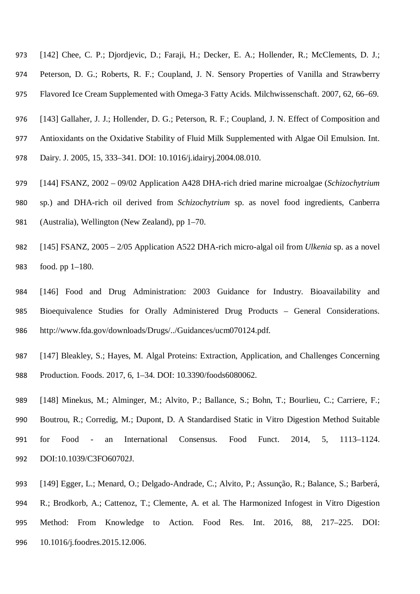- [142] Chee, C. P.; Djordjevic, D.; Faraji, H.; Decker, E. A.; Hollender, R.; McClements, D. J.;
- Peterson, D. G.; Roberts, R. F.; Coupland, J. N. Sensory Properties of Vanilla and Strawberry
- Flavored Ice Cream Supplemented with Omega-3 Fatty Acids. Milchwissenschaft. 2007, 62, 66–69.
- [143] Gallaher, J. J.; Hollender, D. G.; Peterson, R. F.; Coupland, J. N. Effect of Composition and
- Antioxidants on the Oxidative Stability of Fluid Milk Supplemented with Algae Oil Emulsion. Int.
- Dairy. J. 2005, 15, 333–341. DOI: 10.1016/j.idairyj.2004.08.010.
- [144] FSANZ, 2002 09/02 Application A428 DHA-rich dried marine microalgae (*Schizochytrium* sp.) and DHA-rich oil derived from *Schizochytrium* sp. as novel food ingredients, Canberra (Australia), Wellington (New Zealand), pp 1–70.
- [145] FSANZ, 2005 2/05 Application A522 DHA-rich micro-algal oil from *Ulkenia* sp. as a novel food. pp 1–180.
- [146] Food and Drug Administration: 2003 Guidance for Industry. Bioavailability and Bioequivalence Studies for Orally Administered Drug Products – General Considerations. http://www.fda.gov/downloads/Drugs/../Guidances/ucm070124.pdf.
- [147] Bleakley, S.; Hayes, M. Algal Proteins: Extraction, Application, and Challenges Concerning Production. Foods. 2017, 6, 1–34. DOI: 10.3390/foods6080062.
- [148] Minekus, M.; Alminger, M.; Alvito, P.; Ballance, S.; Bohn, T.; Bourlieu, C.; Carriere, F.; Boutrou, R.; Corredig, M.; Dupont, D. A Standardised Static in Vitro Digestion Method Suitable for Food - an International Consensus. Food Funct. 2014, 5, 1113–1124. DOI:10.1039/C3FO60702J.
- [149] Egger, L.; Menard, O.; Delgado-Andrade, C.; Alvito, P.; Assunção, R.; Balance, S.; Barberá,
- R.; Brodkorb, A.; Cattenoz, T.; Clemente, A. et al. The Harmonized Infogest in Vitro Digestion Method: From Knowledge to Action. Food Res. Int. 2016, 88, 217–225. DOI: 10.1016/j.foodres.2015.12.006.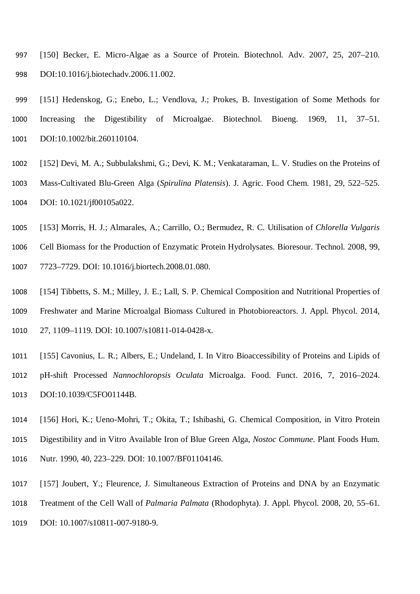- [150] Becker, E. Micro-Algae as a Source of Protein. Biotechnol. Adv. 2007, 25, 207–210. DOI:10.1016/j.biotechadv.2006.11.002.
- [151] Hedenskog, G.; Enebo, L.; Vendlova, J.; Prokes, B. Investigation of Some Methods for Increasing the Digestibility of Microalgae. Biotechnol. Bioeng. 1969, 11, 37–51. DOI:10.1002/bit.260110104.
- [152] Devi, M. A.; Subbulakshmi, G.; Devi, K. M.; Venkataraman, L. V. Studies on the Proteins of Mass-Cultivated Blu-Green Alga (*Spirulina Platensis*). J. Agric. Food Chem. 1981, 29, 522–525. DOI: 10.1021/jf00105a022.
- [153] Morris, H. J.; Almarales, A.; Carrillo, O.; Bermudez, R. C. Utilisation of *Chlorella Vulgaris* Cell Biomass for the Production of Enzymatic Protein Hydrolysates. Bioresour. Technol. 2008, 99, 7723–7729. DOI: 10.1016/j.biortech.2008.01.080.
- [154] Tibbetts, S. M.; Milley, J. E.; Lall, S. P. Chemical Composition and Nutritional Properties of Freshwater and Marine Microalgal Biomass Cultured in Photobioreactors. J. Appl. Phycol. 2014, 27, 1109–1119. DOI: 10.1007/s10811-014-0428-x.
- [155] Cavonius, L. R.; Albers, E.; Undeland, I. In Vitro Bioaccessibility of Proteins and Lipids of pH-shift Processed *Nannochloropsis Oculata* Microalga. Food. Funct. 2016, 7, 2016–2024. DOI:10.1039/C5FO01144B.
- [156] Hori, K.; Ueno-Mohri, T.; Okita, T.; Ishibashi, G. Chemical Composition, in Vitro Protein Digestibility and in Vitro Available Iron of Blue Green Alga, *Nostoc Commune*. Plant Foods Hum. Nutr. 1990, 40, 223–229. DOI: 10.1007/BF01104146.
- [157] Joubert, Y.; Fleurence, J. Simultaneous Extraction of Proteins and DNA by an Enzymatic
- Treatment of the Cell Wall of *Palmaria Palmata* (Rhodophyta). J. Appl. Phycol. 2008, 20, 55–61.
- 1019 DOI: 10.1007/s10811-007-9180-9.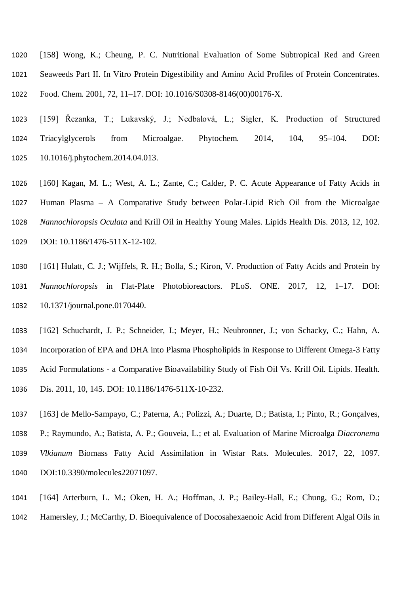- [158] Wong, K.; Cheung, P. C. Nutritional Evaluation of Some Subtropical Red and Green Seaweeds Part II. In Vitro Protein Digestibility and Amino Acid Profiles of Protein Concentrates. Food. Chem. 2001, 72, 11–17. DOI: 10.1016/S0308-8146(00)00176-X.
- [159] Řezanka, T.; Lukavský, J.; Nedbalová, L.; Sigler, K. Production of Structured Triacylglycerols from Microalgae. Phytochem. 2014, 104, 95–104. DOI: 10.1016/j.phytochem.2014.04.013.
- [160] Kagan, M. L.; West, A. L.; Zante, C.; Calder, P. C. Acute Appearance of Fatty Acids in Human Plasma – A Comparative Study between Polar-Lipid Rich Oil from the Microalgae *Nannochloropsis Oculata* and Krill Oil in Healthy Young Males. Lipids Health Dis. 2013, 12, 102. DOI: 10.1186/1476-511X-12-102.
- [161] Hulatt, C. J.; Wijffels, R. H.; Bolla, S.; Kiron, V. Production of Fatty Acids and Protein by *Nannochloropsis* in Flat-Plate Photobioreactors. PLoS. ONE. 2017, 12, 1–17. DOI: 10.1371/journal.pone.0170440.
- [162] Schuchardt, J. P.; Schneider, I.; Meyer, H.; Neubronner, J.; von Schacky, C.; Hahn, A. Incorporation of EPA and DHA into Plasma Phospholipids in Response to Different Omega-3 Fatty Acid Formulations - a Comparative Bioavailability Study of Fish Oil Vs. Krill Oil. Lipids. Health. Dis. 2011, 10, 145. DOI: 10.1186/1476-511X-10-232.
- [163] de Mello-Sampayo, C.; Paterna, A.; Polizzi, A.; Duarte, D.; Batista, I.; Pinto, R.; Gonçalves, P.; Raymundo, A.; Batista, A. P.; Gouveia, L.; et al. Evaluation of Marine Microalga *Diacronema Vlkianum* Biomass Fatty Acid Assimilation in Wistar Rats. Molecules. 2017, 22, 1097. DOI:10.3390/molecules22071097.
- [164] Arterburn, L. M.; Oken, H. A.; Hoffman, J. P.; Bailey-Hall, E.; Chung, G.; Rom, D.;
- Hamersley, J.; McCarthy, D. Bioequivalence of Docosahexaenoic Acid from Different Algal Oils in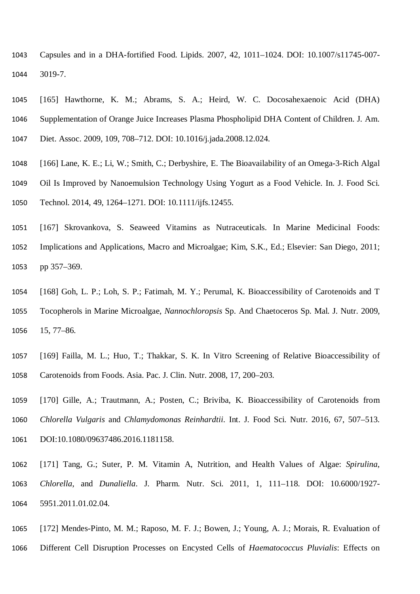- Capsules and in a DHA-fortified Food. Lipids. 2007, 42, 1011–1024. DOI: 10.1007/s11745-007- 3019-7.
- [165] Hawthorne, K. M.; Abrams, S. A.; Heird, W. C. Docosahexaenoic Acid (DHA) Supplementation of Orange Juice Increases Plasma Phospholipid DHA Content of Children. J. Am. Diet. Assoc. 2009, 109, 708–712. DOI: 10.1016/j.jada.2008.12.024.
- [166] Lane, K. E.; Li, W.; Smith, C.; Derbyshire, E. The Bioavailability of an Omega-3-Rich Algal Oil Is Improved by Nanoemulsion Technology Using Yogurt as a Food Vehicle. In. J. Food Sci. Technol. 2014, 49, 1264–1271. DOI: 10.1111/ijfs.12455.
- [167] Skrovankova, S. Seaweed Vitamins as Nutraceuticals. In Marine Medicinal Foods: Implications and Applications, Macro and Microalgae; Kim, S.K., Ed.; Elsevier: San Diego, 2011; pp 357–369.
- [168] Goh, L. P.; Loh, S. P.; Fatimah, M. Y.; Perumal, K. Bioaccessibility of Carotenoids and T Tocopherols in Marine Microalgae, *Nannochloropsis* Sp. And Chaetoceros Sp. Mal. J. Nutr. 2009, 15, 77–86.
- [169] Failla, M. L.; Huo, T.; Thakkar, S. K. In Vitro Screening of Relative Bioaccessibility of Carotenoids from Foods. Asia. Pac. J. Clin. Nutr. 2008, 17, 200–203.
- [170] Gille, A.; Trautmann, A.; Posten, C.; Briviba, K. Bioaccessibility of Carotenoids from *Chlorella Vulgaris* and *Chlamydomonas Reinhardtii*. Int. J. Food Sci. Nutr. 2016, 67, 507–513. 1061 DOI:10.1080/09637486.2016.1181158.
- [171] Tang, G.; Suter, P. M. Vitamin A, Nutrition, and Health Values of Algae: *Spirulina*, *Chlorella*, and *Dunaliella*. J. Pharm. Nutr. Sci. 2011, 1, 111–118. DOI: 10.6000/1927- 5951.2011.01.02.04.
- [172] Mendes-Pinto, M. M.; Raposo, M. F. J.; Bowen, J.; Young, A. J.; Morais, R. Evaluation of
- Different Cell Disruption Processes on Encysted Cells of *Haematococcus Pluvialis*: Effects on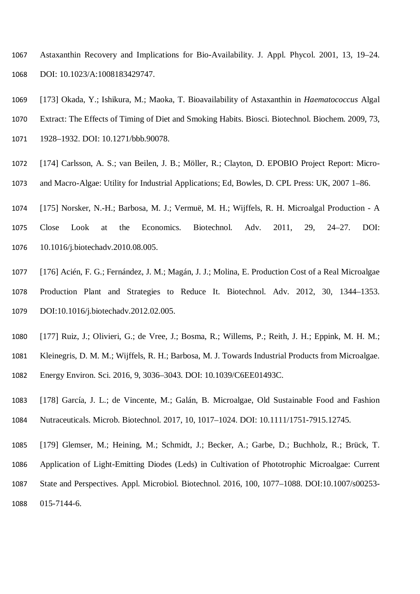Astaxanthin Recovery and Implications for Bio-Availability. J. Appl. Phycol. 2001, 13, 19–24. DOI: 10.1023/A:1008183429747.

- [173] Okada, Y.; Ishikura, M.; Maoka, T. Bioavailability of Astaxanthin in *Haematococcus* Algal
- Extract: The Effects of Timing of Diet and Smoking Habits. Biosci. Biotechnol. Biochem. 2009, 73,
- 1928–1932. DOI: 10.1271/bbb.90078.
- [174] Carlsson, A. S.; van Beilen, J. B.; Möller, R.; Clayton, D. EPOBIO Project Report: Micro-and Macro-Algae: Utility for Industrial Applications; Ed, Bowles, D. CPL Press: UK, 2007 1–86.
- [175] Norsker, N.-H.; Barbosa, M. J.; Vermuë, M. H.; Wijffels, R. H. Microalgal Production A
- Close Look at the Economics. Biotechnol. Adv. 2011, 29, 24–27. DOI: 10.1016/j.biotechadv.2010.08.005.
- [176] Acién, F. G.; Fernández, J. M.; Magán, J. J.; Molina, E. Production Cost of a Real Microalgae Production Plant and Strategies to Reduce It. Biotechnol. Adv. 2012, 30, 1344–1353. DOI:10.1016/j.biotechadv.2012.02.005.
- [177] Ruiz, J.; Olivieri, G.; de Vree, J.; Bosma, R.; Willems, P.; Reith, J. H.; Eppink, M. H. M.;
- Kleinegris, D. M. M.; Wijffels, R. H.; Barbosa, M. J. Towards Industrial Products from Microalgae.
- Energy Environ. Sci. 2016, 9, 3036–3043. DOI: 10.1039/C6EE01493C.
- [178] García, J. L.; de Vincente, M.; Galán, B. Microalgae, Old Sustainable Food and Fashion Nutraceuticals. Microb. Biotechnol. 2017, 10, 1017–1024. DOI: 10.1111/1751-7915.12745.
- [179] Glemser, M.; Heining, M.; Schmidt, J.; Becker, A.; Garbe, D.; Buchholz, R.; Brück, T.
- Application of Light-Emitting Diodes (Leds) in Cultivation of Phototrophic Microalgae: Current State and Perspectives. Appl. Microbiol. Biotechnol. 2016, 100, 1077–1088. DOI:10.1007/s00253- 015-7144-6.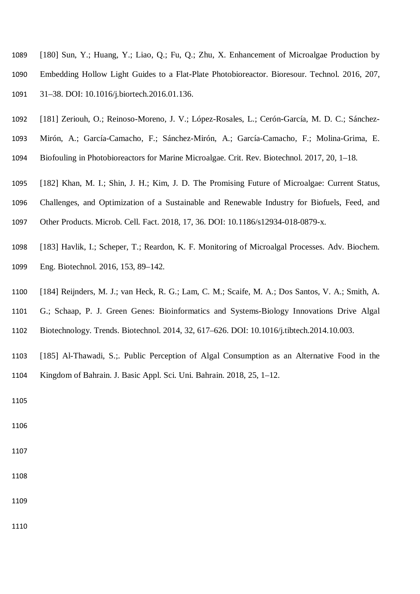- [180] Sun, Y.; Huang, Y.; Liao, Q.; Fu, Q.; Zhu, X. Enhancement of Microalgae Production by Embedding Hollow Light Guides to a Flat-Plate Photobioreactor. Bioresour. Technol. 2016, 207, 31–38. DOI: 10.1016/j.biortech.2016.01.136.
- [181] Zeriouh, O.; Reinoso-Moreno, J. V.; López-Rosales, L.; Cerón-García, M. D. C.; Sánchez-
- Mirón, A.; García-Camacho, F.; Sánchez-Mirón, A.; García-Camacho, F.; Molina-Grima, E.
- Biofouling in Photobioreactors for Marine Microalgae. Crit. Rev. Biotechnol. 2017, 20, 1–18.
- [182] Khan, M. I.; Shin, J. H.; Kim, J. D. The Promising Future of Microalgae: Current Status,
- Challenges, and Optimization of a Sustainable and Renewable Industry for Biofuels, Feed, and
- Other Products. Microb. Cell. Fact. 2018, 17, 36. DOI: 10.1186/s12934-018-0879-x.
- [183] Havlik, I.; Scheper, T.; Reardon, K. F. Monitoring of Microalgal Processes. Adv. Biochem. Eng. Biotechnol. 2016, 153, 89–142.
- [184] Reijnders, M. J.; van Heck, R. G.; Lam, C. M.; Scaife, M. A.; Dos Santos, V. A.; Smith, A. G.; Schaap, P. J. Green Genes: Bioinformatics and Systems-Biology Innovations Drive Algal Biotechnology. Trends. Biotechnol. 2014, 32, 617–626. DOI: 10.1016/j.tibtech.2014.10.003.
- [185] Al-Thawadi, S.;. Public Perception of Algal Consumption as an Alternative Food in the
- Kingdom of Bahrain. J. Basic Appl. Sci. Uni. Bahrain. 2018, 25, 1–12.

- 
- 
-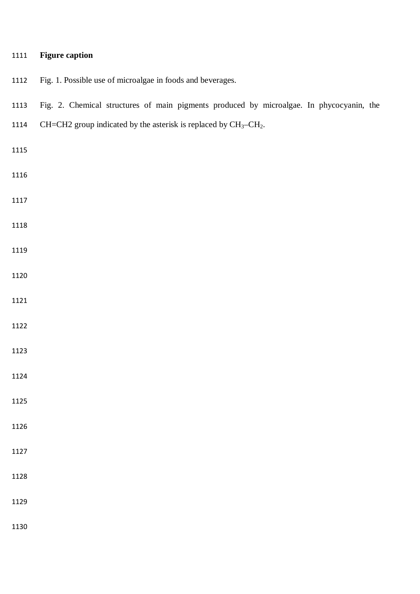# **Figure caption**

- Fig. 1. Possible use of microalgae in foods and beverages.
- Fig. 2. Chemical structures of main pigments produced by microalgae. In phycocyanin, the
- 1114 CH=CH2 group indicated by the asterisk is replaced by  $CH_3-CH_2$ .
- 
- 
- 
- 
- 
- 
- 
- 
- 
- 
- 
- 
- 
- 
- 
- 
-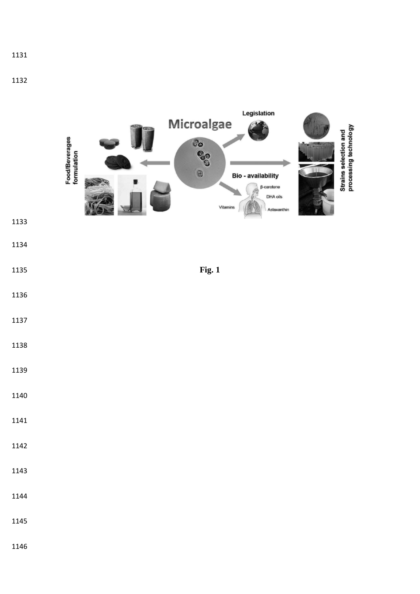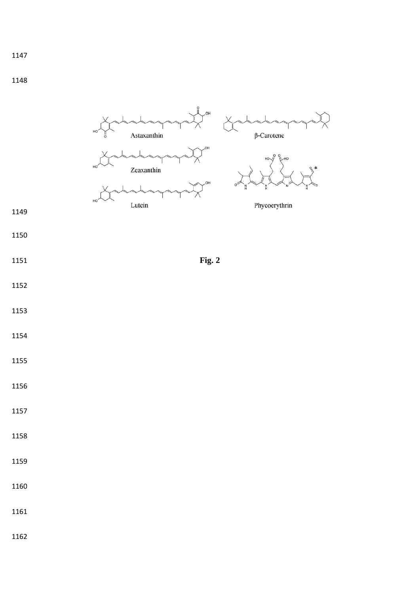- 
- 
-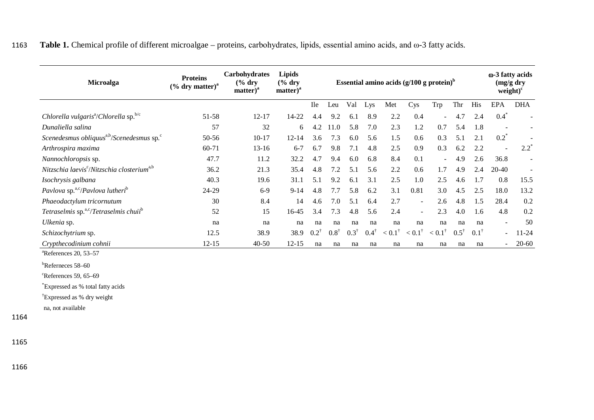|  | 1163 Table 1. Chemical profile of different microalgae – proteins, carbohydrates, lipids, essential amino acids, and ω-3 fatty acids. |  |  |  |  |
|--|---------------------------------------------------------------------------------------------------------------------------------------|--|--|--|--|
|--|---------------------------------------------------------------------------------------------------------------------------------------|--|--|--|--|

| <b>Microalga</b>                                                   | <b>Proteins</b><br>$(\%$ dry matter) <sup>a</sup> | Carbohydrates<br>$\frac{6}{6}$ dry<br>matter) <sup>a</sup> | <b>Lipids</b><br>$\frac{6}{6}$ dry<br>matter) <sup>a</sup> |                 |                 |                 |                 | Essential amino acids $(g/100 g)$ protein) <sup>b</sup> |                          |                          |                 |                 | ω-3 fatty acids<br>$(mg/g \, dry)$<br>$weight)^c$ |            |
|--------------------------------------------------------------------|---------------------------------------------------|------------------------------------------------------------|------------------------------------------------------------|-----------------|-----------------|-----------------|-----------------|---------------------------------------------------------|--------------------------|--------------------------|-----------------|-----------------|---------------------------------------------------|------------|
|                                                                    |                                                   |                                                            |                                                            | <b>Ile</b>      | Leu             | Val             | Lys             | Met                                                     | Cys                      | Trp                      | Thr             | His             | EPA                                               | <b>DHA</b> |
| Chlorella vulgaris <sup>a</sup> /Chlorella sp. <sup>b/c</sup>      | 51-58                                             | $12 - 17$                                                  | 14-22                                                      | 4.4             | 9.2             | 6.1             | 8.9             | 2.2                                                     | 0.4                      | $\overline{\phantom{0}}$ | 4.7             | 2.4             | $0.4*$                                            |            |
| Dunaliella salina                                                  | 57                                                | 32                                                         | 6                                                          | 4.2             | $\Omega$        | 5.8             | 7.0             | 2.3                                                     | 1.2                      | 0.7                      | 5.4             | 1.8             | $\overline{\phantom{a}}$                          |            |
| Scenedesmus obliquus <sup>a,b</sup> /Scenedesmus sp. <sup>c</sup>  | 50-56                                             | $10 - 17$                                                  | 12-14                                                      | 3.6             | 7.3             | 6.0             | 5.6             | 1.5                                                     | 0.6                      | 0.3                      | 5.1             | 2.1             | $0.2^*$                                           |            |
| Arthrospira maxima                                                 | $60 - 71$                                         | $13 - 16$                                                  | $6 - 7$                                                    | 6.7             | 9.8             | 7.1             | 4.8             | 2.5                                                     | 0.9                      | 0.3                      | 6.2             | 2.2             | $\blacksquare$                                    | $2.2^*$    |
| Nannochloropsis sp.                                                | 47.7                                              | 11.2                                                       | 32.2                                                       | 4.7             | 9.4             | 6.0             | 6.8             | 8.4                                                     | 0.1                      | $\overline{\phantom{a}}$ | 4.9             | 2.6             | 36.8                                              |            |
| Nitzschia laevis <sup>c</sup> /Nitzschia closterium <sup>a,b</sup> | 36.2                                              | 21.3                                                       | 35.4                                                       | 4.8             | 7.2             | 5.1             | 5.6             | 2.2                                                     | 0.6                      | 1.7                      | 4.9             | 2.4             | 20-40                                             |            |
| Isochrysis galbana                                                 | 40.3                                              | 19.6                                                       | 31.1                                                       | 5.1             | 9.2             | 6.1             | 3.1             | 2.5                                                     | 1.0                      | 2.5                      | 4.6             | 1.7             | 0.8                                               | 15.5       |
| Pavlova sp. <sup>a,c</sup> /Pavlova lutheri <sup>b</sup>           | 24-29                                             | $6-9$                                                      | $9 - 14$                                                   | 4.8             | 7.7             | 5.8             | 6.2             | 3.1                                                     | 0.81                     | 3.0                      | 4.5             | 2.5             | 18.0                                              | 13.2       |
| Phaeodactylum tricornutum                                          | 30                                                | 8.4                                                        | 14                                                         | 4.6             | 7.0             | 5.1             | 6.4             | 2.7                                                     | $\overline{\phantom{a}}$ | 2.6                      | 4.8             | 1.5             | 28.4                                              | 0.2        |
| Tetraselmis sp. <sup>a,c</sup> /Tetraselmis chuit <sup>b</sup>     | 52                                                | 15                                                         | 16-45                                                      | 3.4             | 7.3             | 4.8             | 5.6             | 2.4                                                     | $\sim$                   | 2.3                      | 4.0             | 1.6             | 4.8                                               | 0.2        |
| Ulkenia sp.                                                        | na                                                | na                                                         | na                                                         | na              | na              | na              | na              | na                                                      | na                       | na                       | na              | na              | $\overline{\phantom{a}}$                          | 50         |
| Schizochytrium sp.                                                 | 12.5                                              | 38.9                                                       | 38.9                                                       | $0.2^{\dagger}$ | $0.8^{\dagger}$ | $0.3^{\dagger}$ | $0.4^{\dagger}$ | $< 0.1^{\dagger}$                                       | $< 0.1^{\dagger}$        | $< 0.1^{\dagger}$        | $0.5^{\dagger}$ | $0.1^{\dagger}$ | $\overline{\phantom{0}}$                          | 11-24      |
| Crypthecodinium cohnii                                             | $12 - 15$                                         | $40 - 50$                                                  | $12 - 15$                                                  | na              | na              | na              | na              | na                                                      | na                       | na                       | na              | na              | $\blacksquare$                                    | $20 - 60$  |

a References 20, 53–57

b Referneces 58–60

c References 59, 65–69

\* Expressed as % total fatty acids

† Expressed as % dry weight

na, not available

1164

1165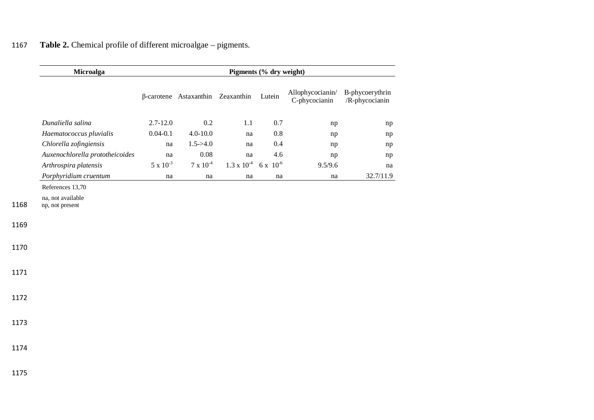# 1167 **Table 2.** Chemical profile of different microalgae – pigments.

|      | Microalga                            | Pigments (% dry weight) |                                          |                      |              |                                   |                                   |  |  |  |
|------|--------------------------------------|-------------------------|------------------------------------------|----------------------|--------------|-----------------------------------|-----------------------------------|--|--|--|
|      |                                      |                         | $\beta$ -carotene Astaxanthin Zeaxanthin |                      | Lutein       | Allophycocianin/<br>C-phycocianin | B-phycoerythrin<br>/R-phycocianin |  |  |  |
|      | Dunaliella salina                    | $2.7 - 12.0$            | 0.2                                      | 1.1                  | 0.7          | np                                | np                                |  |  |  |
|      | Haematococcus pluvialis              | $0.04 - 0.1$            | $4.0 - 10.0$                             | $\operatorname{na}$  | $0.8\,$      | np                                | np                                |  |  |  |
|      | Chlorella zofingiensis               | $\operatorname{na}$     | $1.5 - > 4.0$                            | na                   | 0.4          | np                                | np                                |  |  |  |
|      | Auxenochlorella prototheicoides      | na                      | $0.08\,$                                 | na                   | 4.6          | np                                | np                                |  |  |  |
|      | Arthrospira platensis                | $5 \times 10^{-3}$      | $7$ x $10^{\text{-}4}$                   | $1.3 \times 10^{-4}$ | $6x\;10^{6}$ | 9.5/9.6                           | na                                |  |  |  |
|      | Porphyridium cruentum                | $\operatorname{na}$     | na                                       | $\operatorname{na}$  | na           | na                                | 32.7/11.9                         |  |  |  |
|      | References 13,70                     |                         |                                          |                      |              |                                   |                                   |  |  |  |
| 1168 | na, not available<br>np, not present |                         |                                          |                      |              |                                   |                                   |  |  |  |
| 1169 |                                      |                         |                                          |                      |              |                                   |                                   |  |  |  |
| 1170 |                                      |                         |                                          |                      |              |                                   |                                   |  |  |  |
| 1171 |                                      |                         |                                          |                      |              |                                   |                                   |  |  |  |
| 1172 |                                      |                         |                                          |                      |              |                                   |                                   |  |  |  |
| 1173 |                                      |                         |                                          |                      |              |                                   |                                   |  |  |  |
| 1174 |                                      |                         |                                          |                      |              |                                   |                                   |  |  |  |
| 1175 |                                      |                         |                                          |                      |              |                                   |                                   |  |  |  |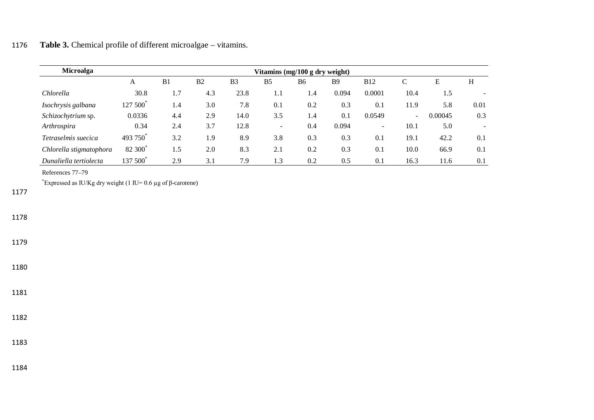# 1176 **Table 3.** Chemical profile of different microalgae – vitamins.

| Microalga               |                      |                |                |                | Vitamins (mg/100 g dry weight) |           |            |                          |        |         |      |
|-------------------------|----------------------|----------------|----------------|----------------|--------------------------------|-----------|------------|--------------------------|--------|---------|------|
|                         | A                    | B <sub>1</sub> | B <sub>2</sub> | B <sub>3</sub> | B <sub>5</sub>                 | <b>B6</b> | <b>B</b> 9 | <b>B12</b>               | C      | E       | H    |
| Chlorella               | 30.8                 | 1.7            | 4.3            | 23.8           | 1.1                            | 1.4       | 0.094      | 0.0001                   | 10.4   | 1.5     |      |
| Isochrysis galbana      | 127 500 <sup>*</sup> | 1.4            | 3.0            | 7.8            | 0.1                            | 0.2       | 0.3        | 0.1                      | 11.9   | 5.8     | 0.01 |
| Schizochytrium sp.      | 0.0336               | 4.4            | 2.9            | 14.0           | 3.5                            | 1.4       | 0.1        | 0.0549                   | $\sim$ | 0.00045 | 0.3  |
| Arthrospira             | 0.34                 | 2.4            | 3.7            | 12.8           | $\overline{\phantom{a}}$       | 0.4       | 0.094      | $\overline{\phantom{0}}$ | 10.1   | 5.0     |      |
| Tetraselmis suecica     | 493 750              | 3.2            | 1.9            | 8.9            | 3.8                            | 0.3       | 0.3        | 0.1                      | 19.1   | 42.2    | 0.1  |
| Chlorella stigmatophora | 82 300 <sup>*</sup>  | 1.5            | 2.0            | 8.3            | 2.1                            | 0.2       | 0.3        | 0.1                      | 10.0   | 66.9    | 0.1  |
| Dunaliella tertiolecta  | 137 500              | 2.9            | 3.1            | 7.9            | 1.3                            | 0.2       | 0.5        | 0.1                      | 16.3   | 11.6    | 0.1  |

References 77–79

<sup>\*</sup>Expressed as IU/Kg dry weight (1 IU= 0.6 μg of β-carotene)

1177

1178

1179

1180

1181

1182

1183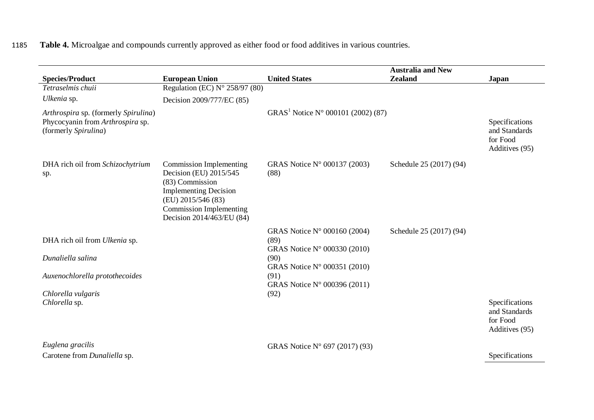# 1185 **Table 4.** Microalgae and compounds currently approved as either food or food additives in various countries.

| <b>Species/Product</b>                                                                           | <b>European Union</b>                                                                                                                                                                            | <b>United States</b>                                                 | <b>Australia and New</b><br><b>Zealand</b> | <b>Japan</b>                                                  |
|--------------------------------------------------------------------------------------------------|--------------------------------------------------------------------------------------------------------------------------------------------------------------------------------------------------|----------------------------------------------------------------------|--------------------------------------------|---------------------------------------------------------------|
| Tetraselmis chuii                                                                                | Regulation (EC) $N^{\circ}$ 258/97 (80)                                                                                                                                                          |                                                                      |                                            |                                                               |
| Ulkenia sp.                                                                                      | Decision 2009/777/EC (85)                                                                                                                                                                        |                                                                      |                                            |                                                               |
| Arthrospira sp. (formerly Spirulina)<br>Phycocyanin from Arthrospira sp.<br>(formerly Spirulina) |                                                                                                                                                                                                  | GRAS <sup>1</sup> Notice N° 000101 (2002) (87)                       |                                            | Specifications<br>and Standards<br>for Food<br>Additives (95) |
| DHA rich oil from Schizochytrium<br>sp.                                                          | <b>Commission Implementing</b><br>Decision (EU) 2015/545<br>(83) Commission<br><b>Implementing Decision</b><br>(EU) 2015/546 (83)<br><b>Commission Implementing</b><br>Decision 2014/463/EU (84) | GRAS Notice N° 000137 (2003)<br>(88)                                 | Schedule 25 (2017) (94)                    |                                                               |
| DHA rich oil from Ulkenia sp.                                                                    |                                                                                                                                                                                                  | GRAS Notice N° 000160 (2004)<br>(89)<br>GRAS Notice N° 000330 (2010) | Schedule 25 (2017) (94)                    |                                                               |
| Dunaliella salina                                                                                |                                                                                                                                                                                                  | (90)<br>GRAS Notice N° 000351 (2010)                                 |                                            |                                                               |
| Auxenochlorella protothecoides                                                                   |                                                                                                                                                                                                  | (91)<br>GRAS Notice N° 000396 (2011)                                 |                                            |                                                               |
| Chlorella vulgaris                                                                               |                                                                                                                                                                                                  | (92)                                                                 |                                            |                                                               |
| Chlorella sp.                                                                                    |                                                                                                                                                                                                  |                                                                      |                                            | Specifications<br>and Standards<br>for Food<br>Additives (95) |
| Euglena gracilis<br>Carotene from Dunaliella sp.                                                 |                                                                                                                                                                                                  | GRAS Notice N° 697 (2017) (93)                                       |                                            | Specifications                                                |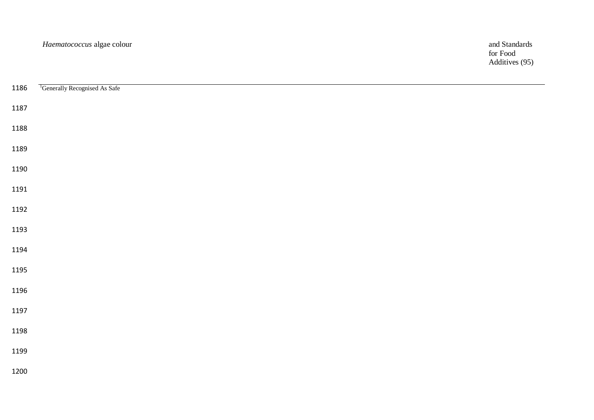for Food Additives (95)

| 1186 | <sup>1</sup> Generally Recognised As Safe |
|------|-------------------------------------------|
| 1187 |                                           |
| 1188 |                                           |
| 1189 |                                           |
| 1190 |                                           |
| 1191 |                                           |
| 1192 |                                           |
| 1193 |                                           |
| 1194 |                                           |
| 1195 |                                           |
| 1196 |                                           |
| 1197 |                                           |
| 1198 |                                           |
| 1199 |                                           |
| 1200 |                                           |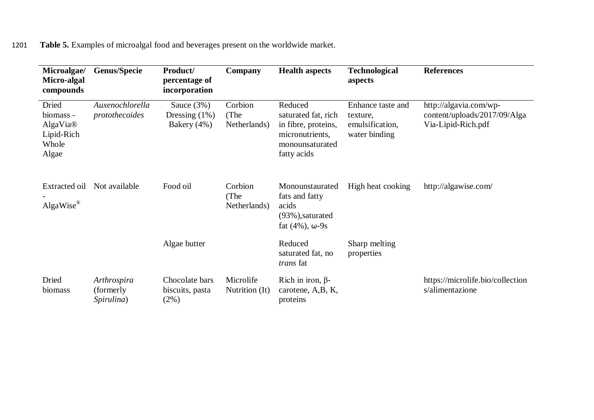1201 **Table 5.** Examples of microalgal food and beverages present on the worldwide market.

| Microalgae/<br>Micro-algal<br>compounds                        | <b>Genus/Specie</b>                     | Product/<br>percentage of<br>incorporation     | Company                         | <b>Health aspects</b>                                                                                      | <b>Technological</b><br>aspects                                   | <b>References</b>                                                            |
|----------------------------------------------------------------|-----------------------------------------|------------------------------------------------|---------------------------------|------------------------------------------------------------------------------------------------------------|-------------------------------------------------------------------|------------------------------------------------------------------------------|
| Dried<br>biomass -<br>AlgaVia®<br>Lipid-Rich<br>Whole<br>Algae | Auxenochlorella<br>protothecoides       | Sauce $(3%)$<br>Dressing $(1%)$<br>Bakery (4%) | Corbion<br>(The<br>Netherlands) | Reduced<br>saturated fat, rich<br>in fibre, proteins,<br>micronutrients,<br>monounsaturated<br>fatty acids | Enhance taste and<br>texture,<br>emulsification,<br>water binding | http://algavia.com/wp-<br>content/uploads/2017/09/Alga<br>Via-Lipid-Rich.pdf |
| Extracted oil<br>AlgaWise®                                     | Not available                           | Food oil                                       | Corbion<br>(The<br>Netherlands) | Monounstaurated<br>fats and fatty<br>acids<br>$(93\%)$ , saturated<br>fat $(4\%)$ , $\omega$ -9s           | High heat cooking                                                 | http://algawise.com/                                                         |
|                                                                |                                         | Algae butter                                   |                                 | Reduced<br>saturated fat, no<br>trans fat                                                                  | Sharp melting<br>properties                                       |                                                                              |
| Dried<br>biomass                                               | Arthrospira<br>(formerly)<br>Spirulina) | Chocolate bars<br>biscuits, pasta<br>(2%)      | Microlife<br>Nutrition (It)     | Rich in iron, $\beta$ -<br>carotene, A,B, K,<br>proteins                                                   |                                                                   | https://microlife.bio/collection<br>s/alimentazione                          |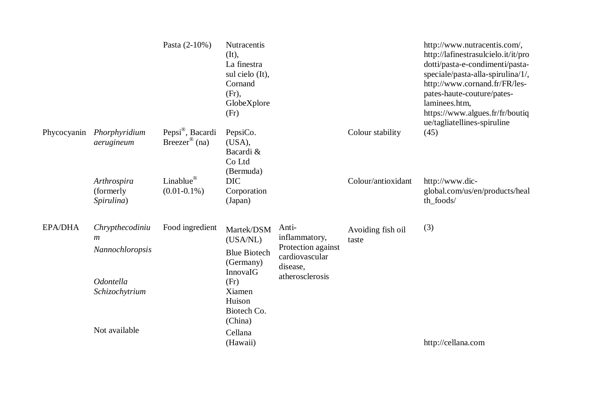|                |                                                                                              | Pasta (2-10%)                                             | Nutracentis<br>(It),<br>La finestra<br>sul cielo (It),<br>Cornand<br>(Fr),<br>GlobeXplore<br>(Fr)                 |                                                                                               |                            | http://www.nutracentis.com/,<br>http://lafinestrasulcielo.it/it/pro<br>dotti/pasta-e-condimenti/pasta-<br>speciale/pasta-alla-spirulina/1/,<br>http://www.cornand.fr/FR/les-<br>pates-haute-couture/pates-<br>laminees.htm,<br>https://www.algues.fr/fr/boutiq<br>ue/tagliatellines-spiruline |
|----------------|----------------------------------------------------------------------------------------------|-----------------------------------------------------------|-------------------------------------------------------------------------------------------------------------------|-----------------------------------------------------------------------------------------------|----------------------------|-----------------------------------------------------------------------------------------------------------------------------------------------------------------------------------------------------------------------------------------------------------------------------------------------|
| Phycocyanin    | Phorphyridium<br>aerugineum                                                                  | Pepsi <sup>®</sup> , Bacardi<br>Breezer <sup>®</sup> (na) | PepsiCo.<br>(USA),<br>Bacardi &<br>Co Ltd<br>(Bermuda)                                                            |                                                                                               | Colour stability           | (45)                                                                                                                                                                                                                                                                                          |
|                | Arthrospira<br>(formerly<br>Spirulina)                                                       | Linablue <sup>®</sup><br>$(0.01 - 0.1\%)$                 | <b>DIC</b><br>Corporation<br>(Japan)                                                                              |                                                                                               | Colour/antioxidant         | http://www.dic-<br>global.com/us/en/products/heal<br>th_foods/                                                                                                                                                                                                                                |
| <b>EPA/DHA</b> | Chrypthecodiniu<br>$\boldsymbol{m}$<br>Nannochloropsis<br><i>Odontella</i><br>Schizochytrium | Food ingredient                                           | Martek/DSM<br>(USA/NL)<br><b>Blue Biotech</b><br>(Germany)<br>InnovaIG<br>(Fr)<br>Xiamen<br>Huison<br>Biotech Co. | Anti-<br>inflammatory,<br>Protection against<br>cardiovascular<br>disease,<br>atherosclerosis | Avoiding fish oil<br>taste | (3)                                                                                                                                                                                                                                                                                           |
|                | Not available                                                                                |                                                           | (China)<br>Cellana<br>(Hawaii)                                                                                    |                                                                                               |                            | http://cellana.com                                                                                                                                                                                                                                                                            |